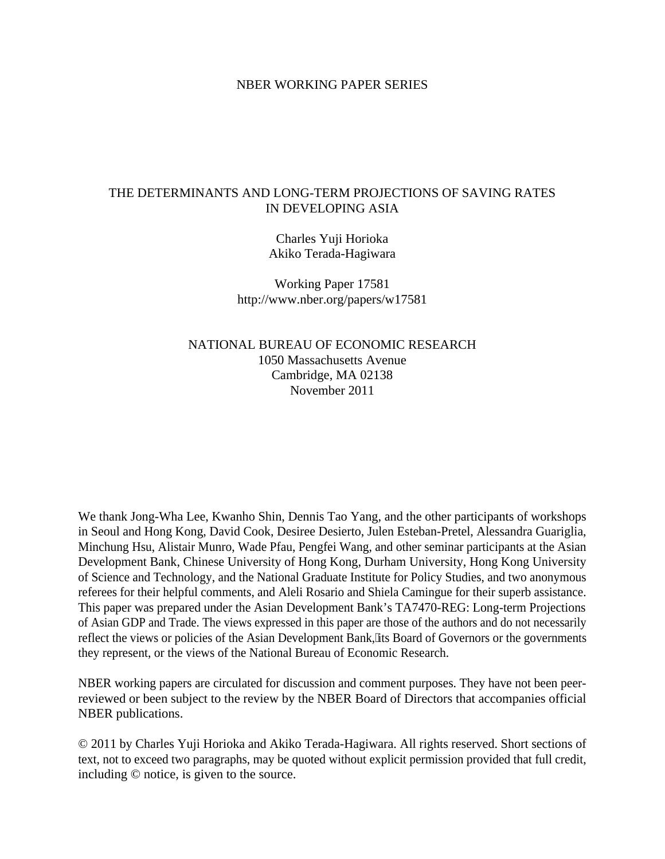### NBER WORKING PAPER SERIES

# THE DETERMINANTS AND LONG-TERM PROJECTIONS OF SAVING RATES IN DEVELOPING ASIA

Charles Yuji Horioka Akiko Terada-Hagiwara

Working Paper 17581 http://www.nber.org/papers/w17581

NATIONAL BUREAU OF ECONOMIC RESEARCH 1050 Massachusetts Avenue Cambridge, MA 02138 November 2011

We thank Jong-Wha Lee, Kwanho Shin, Dennis Tao Yang, and the other participants of workshops in Seoul and Hong Kong, David Cook, Desiree Desierto, Julen Esteban-Pretel, Alessandra Guariglia, Minchung Hsu, Alistair Munro, Wade Pfau, Pengfei Wang, and other seminar participants at the Asian Development Bank, Chinese University of Hong Kong, Durham University, Hong Kong University of Science and Technology, and the National Graduate Institute for Policy Studies, and two anonymous referees for their helpful comments, and Aleli Rosario and Shiela Camingue for their superb assistance. This paper was prepared under the Asian Development Bank's TA7470-REG: Long-term Projections of Asian GDP and Trade. The views expressed in this paper are those of the authors and do not necessarily reflect the views or policies of the Asian Development Bank, 'its Board of Governors or the governments they represent, or the views of the National Bureau of Economic Research.

NBER working papers are circulated for discussion and comment purposes. They have not been peerreviewed or been subject to the review by the NBER Board of Directors that accompanies official NBER publications.

© 2011 by Charles Yuji Horioka and Akiko Terada-Hagiwara. All rights reserved. Short sections of text, not to exceed two paragraphs, may be quoted without explicit permission provided that full credit, including © notice, is given to the source.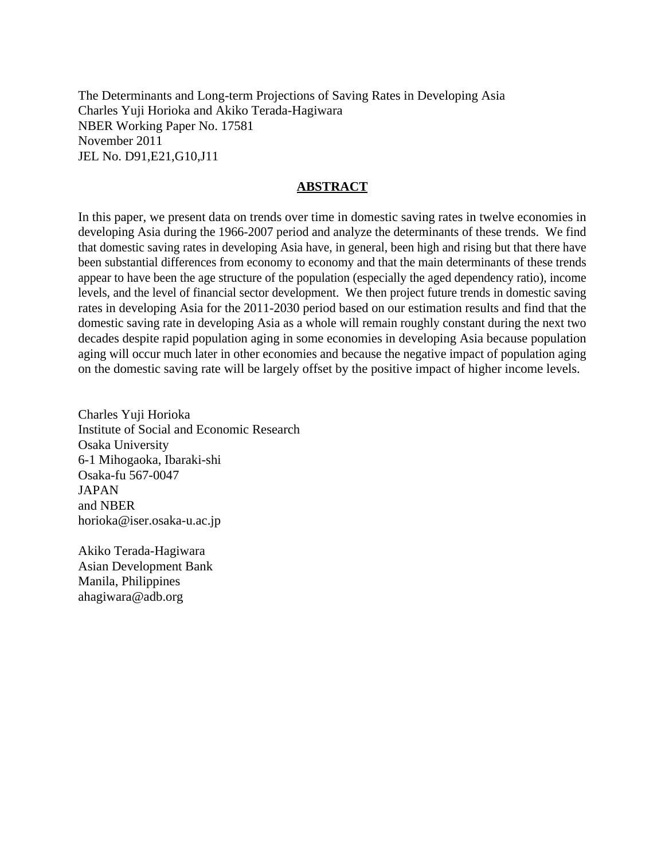The Determinants and Long-term Projections of Saving Rates in Developing Asia Charles Yuji Horioka and Akiko Terada-Hagiwara NBER Working Paper No. 17581 November 2011 JEL No. D91,E21,G10,J11

# **ABSTRACT**

In this paper, we present data on trends over time in domestic saving rates in twelve economies in developing Asia during the 1966-2007 period and analyze the determinants of these trends. We find that domestic saving rates in developing Asia have, in general, been high and rising but that there have been substantial differences from economy to economy and that the main determinants of these trends appear to have been the age structure of the population (especially the aged dependency ratio), income levels, and the level of financial sector development. We then project future trends in domestic saving rates in developing Asia for the 2011-2030 period based on our estimation results and find that the domestic saving rate in developing Asia as a whole will remain roughly constant during the next two decades despite rapid population aging in some economies in developing Asia because population aging will occur much later in other economies and because the negative impact of population aging on the domestic saving rate will be largely offset by the positive impact of higher income levels.

Charles Yuji Horioka Institute of Social and Economic Research Osaka University 6-1 Mihogaoka, Ibaraki-shi Osaka-fu 567-0047 JAPAN and NBER horioka@iser.osaka-u.ac.jp

Akiko Terada-Hagiwara Asian Development Bank Manila, Philippines ahagiwara@adb.org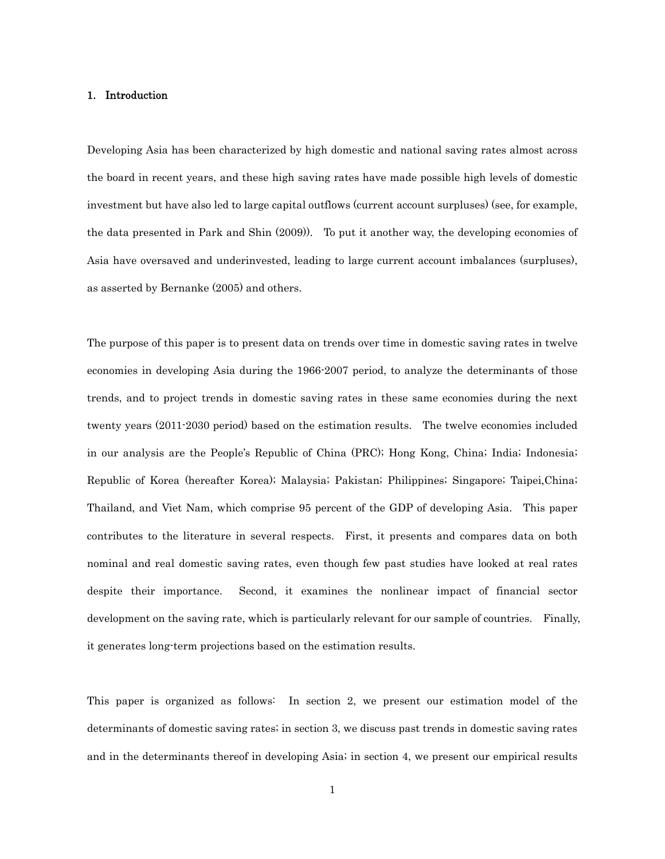### 1. Introduction

Developing Asia has been characterized by high domestic and national saving rates almost across the board in recent years, and these high saving rates have made possible high levels of domestic investment but have also led to large capital outflows (current account surpluses) (see, for example, the data presented in Park and Shin (2009)). To put it another way, the developing economies of Asia have oversaved and underinvested, leading to large current account imbalances (surpluses), as asserted by Bernanke (2005) and others.

The purpose of this paper is to present data on trends over time in domestic saving rates in twelve economies in developing Asia during the 1966-2007 period, to analyze the determinants of those trends, and to project trends in domestic saving rates in these same economies during the next twenty years (2011-2030 period) based on the estimation results. The twelve economies included in our analysis are the People's Republic of China (PRC); Hong Kong, China; India; Indonesia; Republic of Korea (hereafter Korea); Malaysia; Pakistan; Philippines; Singapore; Taipei,China; Thailand, and Viet Nam, which comprise 95 percent of the GDP of developing Asia. This paper contributes to the literature in several respects. First, it presents and compares data on both nominal and real domestic saving rates, even though few past studies have looked at real rates despite their importance. Second, it examines the nonlinear impact of financial sector development on the saving rate, which is particularly relevant for our sample of countries. Finally, it generates long-term projections based on the estimation results.

This paper is organized as follows: In section 2, we present our estimation model of the determinants of domestic saving rates; in section 3, we discuss past trends in domestic saving rates and in the determinants thereof in developing Asia; in section 4, we present our empirical results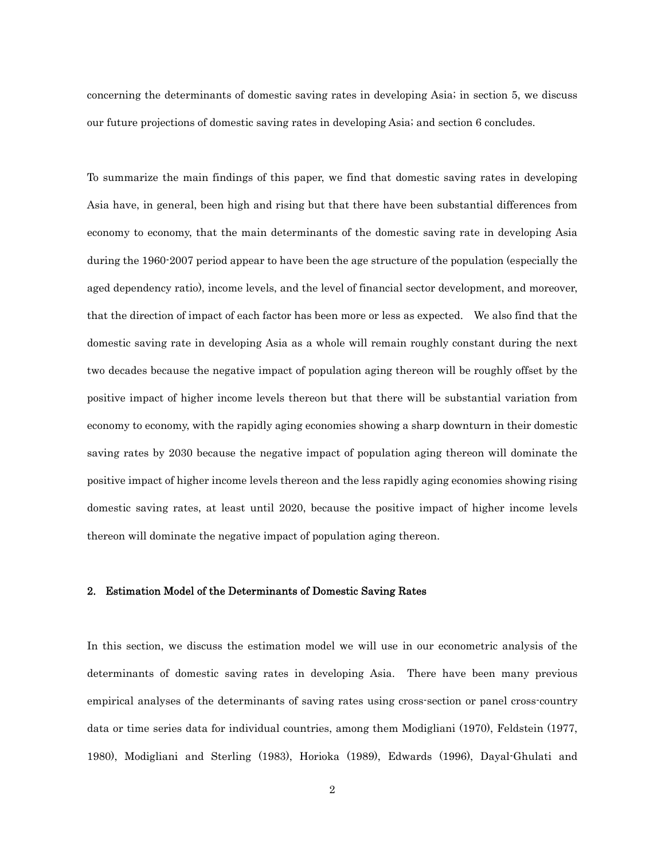concerning the determinants of domestic saving rates in developing Asia; in section 5, we discuss our future projections of domestic saving rates in developing Asia; and section 6 concludes.

To summarize the main findings of this paper, we find that domestic saving rates in developing Asia have, in general, been high and rising but that there have been substantial differences from economy to economy, that the main determinants of the domestic saving rate in developing Asia during the 1960-2007 period appear to have been the age structure of the population (especially the aged dependency ratio), income levels, and the level of financial sector development, and moreover, that the direction of impact of each factor has been more or less as expected. We also find that the domestic saving rate in developing Asia as a whole will remain roughly constant during the next two decades because the negative impact of population aging thereon will be roughly offset by the positive impact of higher income levels thereon but that there will be substantial variation from economy to economy, with the rapidly aging economies showing a sharp downturn in their domestic saving rates by 2030 because the negative impact of population aging thereon will dominate the positive impact of higher income levels thereon and the less rapidly aging economies showing rising domestic saving rates, at least until 2020, because the positive impact of higher income levels thereon will dominate the negative impact of population aging thereon.

### 2. Estimation Model of the Determinants of Domestic Saving Rates

In this section, we discuss the estimation model we will use in our econometric analysis of the determinants of domestic saving rates in developing Asia. There have been many previous empirical analyses of the determinants of saving rates using cross-section or panel cross-country data or time series data for individual countries, among them Modigliani (1970), Feldstein (1977, 1980), Modigliani and Sterling (1983), Horioka (1989), Edwards (1996), Dayal-Ghulati and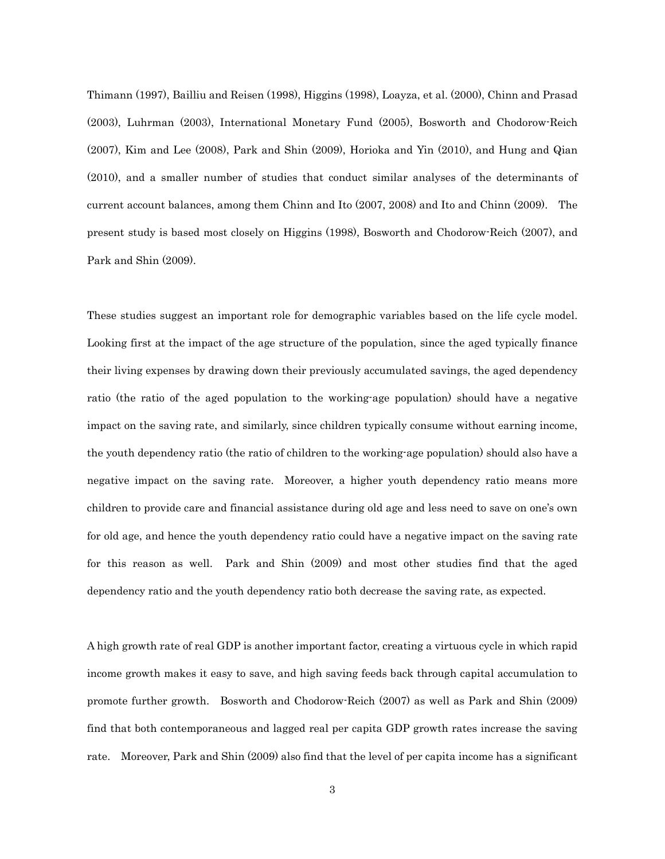Thimann (1997), Bailliu and Reisen (1998), Higgins (1998), Loayza, et al. (2000), Chinn and Prasad (2003), Luhrman (2003), International Monetary Fund (2005), Bosworth and Chodorow-Reich (2007), Kim and Lee (2008), Park and Shin (2009), Horioka and Yin (2010), and Hung and Qian (2010), and a smaller number of studies that conduct similar analyses of the determinants of current account balances, among them Chinn and Ito (2007, 2008) and Ito and Chinn (2009). The present study is based most closely on Higgins (1998), Bosworth and Chodorow-Reich (2007), and Park and Shin (2009).

These studies suggest an important role for demographic variables based on the life cycle model. Looking first at the impact of the age structure of the population, since the aged typically finance their living expenses by drawing down their previously accumulated savings, the aged dependency ratio (the ratio of the aged population to the working-age population) should have a negative impact on the saving rate, and similarly, since children typically consume without earning income, the youth dependency ratio (the ratio of children to the working-age population) should also have a negative impact on the saving rate. Moreover, a higher youth dependency ratio means more children to provide care and financial assistance during old age and less need to save on one's own for old age, and hence the youth dependency ratio could have a negative impact on the saving rate for this reason as well. Park and Shin (2009) and most other studies find that the aged dependency ratio and the youth dependency ratio both decrease the saving rate, as expected.

A high growth rate of real GDP is another important factor, creating a virtuous cycle in which rapid income growth makes it easy to save, and high saving feeds back through capital accumulation to promote further growth. Bosworth and Chodorow-Reich (2007) as well as Park and Shin (2009) find that both contemporaneous and lagged real per capita GDP growth rates increase the saving rate. Moreover, Park and Shin (2009) also find that the level of per capita income has a significant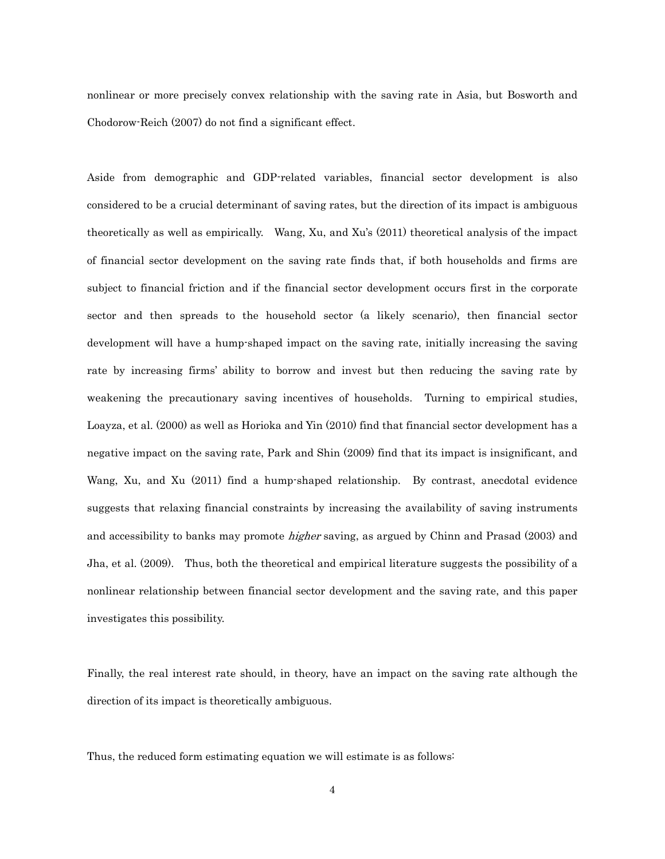nonlinear or more precisely convex relationship with the saving rate in Asia, but Bosworth and Chodorow-Reich (2007) do not find a significant effect.

Aside from demographic and GDP-related variables, financial sector development is also considered to be a crucial determinant of saving rates, but the direction of its impact is ambiguous theoretically as well as empirically. Wang, Xu, and Xu's (2011) theoretical analysis of the impact of financial sector development on the saving rate finds that, if both households and firms are subject to financial friction and if the financial sector development occurs first in the corporate sector and then spreads to the household sector (a likely scenario), then financial sector development will have a hump-shaped impact on the saving rate, initially increasing the saving rate by increasing firms' ability to borrow and invest but then reducing the saving rate by weakening the precautionary saving incentives of households. Turning to empirical studies, Loayza, et al. (2000) as well as Horioka and Yin (2010) find that financial sector development has a negative impact on the saving rate, Park and Shin (2009) find that its impact is insignificant, and Wang, Xu, and Xu (2011) find a hump-shaped relationship. By contrast, anecdotal evidence suggests that relaxing financial constraints by increasing the availability of saving instruments and accessibility to banks may promote *higher* saving, as argued by Chinn and Prasad (2003) and Jha, et al. (2009). Thus, both the theoretical and empirical literature suggests the possibility of a nonlinear relationship between financial sector development and the saving rate, and this paper investigates this possibility.

Finally, the real interest rate should, in theory, have an impact on the saving rate although the direction of its impact is theoretically ambiguous.

Thus, the reduced form estimating equation we will estimate is as follows: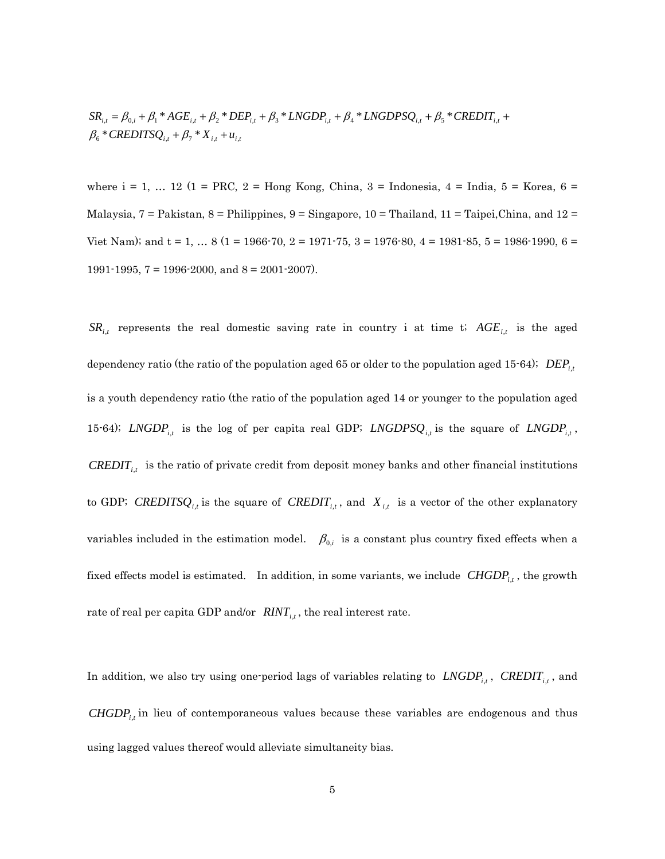$\beta_{6}$  \* CREDITSQ<sub>i,t</sub></sub> +  $\beta_{7}$  \*  $X_{i,t}$  +  $u_{i,t}$  $SR_{i,t} = \beta_{0,i} + \beta_1 * AGE_{i,t} + \beta_2 * DEP_{i,t} + \beta_3 * LNGDP_{i,t} + \beta_4 * LNGDPSQ_{i,t} + \beta_5 * CREDIT_{i,t} +$ 

where  $i = 1, ... 12$  (1 = PRC, 2 = Hong Kong, China, 3 = Indonesia, 4 = India, 5 = Korea, 6 = Malaysia,  $7 =$  Pakistan,  $8 =$  Philippines,  $9 =$  Singapore,  $10 =$  Thailand,  $11 =$  Taipei, China, and  $12 =$ Viet Nam); and  $t = 1, ... 8$  (1 = 1966-70, 2 = 1971-75, 3 = 1976-80, 4 = 1981-85, 5 = 1986-1990, 6 = 1991-1995,  $7 = 1996-2000$ , and  $8 = 2001-2007$ .

 $SR_{i,t}$  represents the real domestic saving rate in country i at time t;  $AGE_{i,t}$  is the aged dependency ratio (the ratio of the population aged 65 or older to the population aged 15-64); *DEPi*,*<sup>t</sup>* is a youth dependency ratio (the ratio of the population aged 14 or younger to the population aged 15-64); *LNGDP*<sub>*i,t*</sub> is the log of per capita real GDP; *LNGDPS* $Q_{i,t}$  is the square of *LNGDP*<sub>*i,t*</sub>, *CREDIT<sub>i,t</sub>* is the ratio of private credit from deposit money banks and other financial institutions to GDP; *CREDITSQ<sub>i,t</sub>* is the square of *CREDIT<sub>i,t</sub>*, and  $X_{i,t}$  is a vector of the other explanatory variables included in the estimation model.  $\beta_{0,i}$  is a constant plus country fixed effects when a fixed effects model is estimated. In addition, in some variants, we include  $CHGDP<sub>i,t</sub>$ , the growth rate of real per capita GDP and/or  $RINT_{i,t}$ , the real interest rate.

In addition, we also try using one-period lags of variables relating to  $LNGDP_{i,t}$ ,  $CREDIT_{i,t}$ , and *CHGDP<sub>i,t</sub>* in lieu of contemporaneous values because these variables are endogenous and thus using lagged values thereof would alleviate simultaneity bias.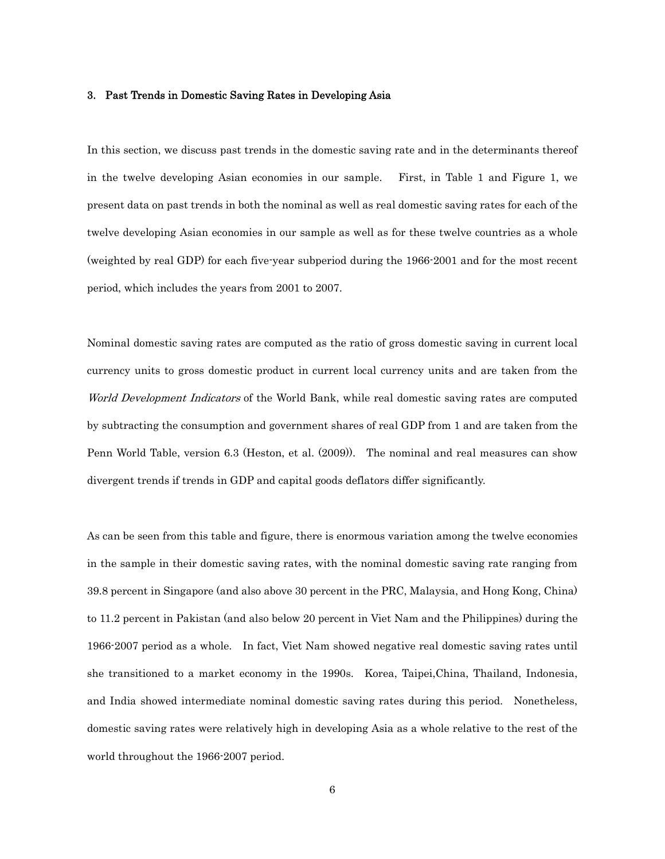### 3. Past Trends in Domestic Saving Rates in Developing Asia

In this section, we discuss past trends in the domestic saving rate and in the determinants thereof in the twelve developing Asian economies in our sample. First, in Table 1 and Figure 1, we present data on past trends in both the nominal as well as real domestic saving rates for each of the twelve developing Asian economies in our sample as well as for these twelve countries as a whole (weighted by real GDP) for each five-year subperiod during the 1966-2001 and for the most recent period, which includes the years from 2001 to 2007.

Nominal domestic saving rates are computed as the ratio of gross domestic saving in current local currency units to gross domestic product in current local currency units and are taken from the World Development Indicators of the World Bank, while real domestic saving rates are computed by subtracting the consumption and government shares of real GDP from 1 and are taken from the Penn World Table, version 6.3 (Heston, et al. (2009)). The nominal and real measures can show divergent trends if trends in GDP and capital goods deflators differ significantly.

As can be seen from this table and figure, there is enormous variation among the twelve economies in the sample in their domestic saving rates, with the nominal domestic saving rate ranging from 39.8 percent in Singapore (and also above 30 percent in the PRC, Malaysia, and Hong Kong, China) to 11.2 percent in Pakistan (and also below 20 percent in Viet Nam and the Philippines) during the 1966-2007 period as a whole. In fact, Viet Nam showed negative real domestic saving rates until she transitioned to a market economy in the 1990s. Korea, Taipei,China, Thailand, Indonesia, and India showed intermediate nominal domestic saving rates during this period. Nonetheless, domestic saving rates were relatively high in developing Asia as a whole relative to the rest of the world throughout the 1966-2007 period.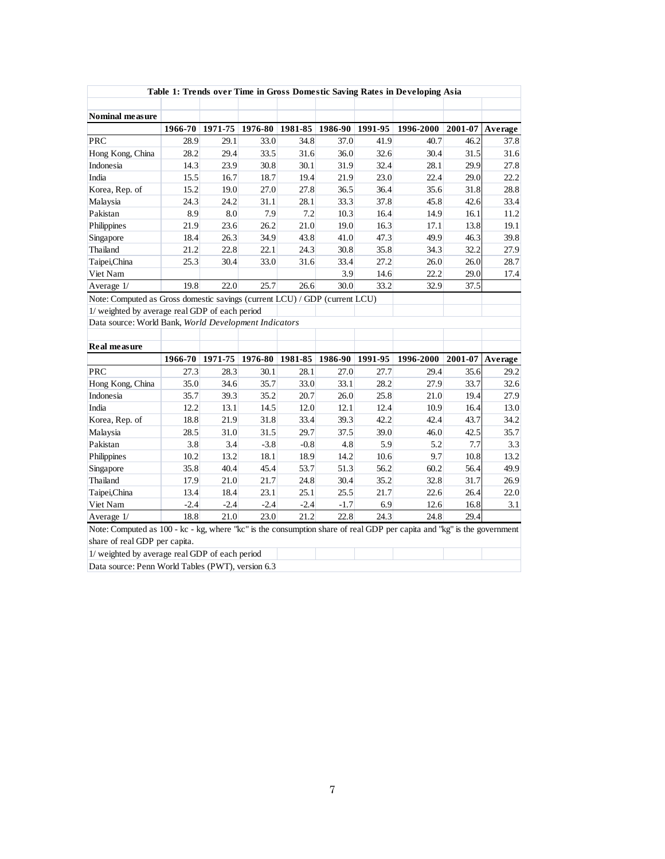| Table 1: Trends over Time in Gross Domestic Saving Rates in Developing Asia                                            |         |         |         |         |                                                 |      |           |         |         |
|------------------------------------------------------------------------------------------------------------------------|---------|---------|---------|---------|-------------------------------------------------|------|-----------|---------|---------|
| Nominal measure                                                                                                        |         |         |         |         |                                                 |      |           |         |         |
|                                                                                                                        | 1966-70 |         |         |         | 1971-75   1976-80   1981-85   1986-90   1991-95 |      | 1996-2000 | 2001-07 | Average |
| <b>PRC</b>                                                                                                             | 28.9    | 29.1    | 33.0    | 34.8    | 37.0                                            | 41.9 | 40.7      | 46.2    | 37.8    |
| Hong Kong, China                                                                                                       | 28.2    | 29.4    | 33.5    | 31.6    | 36.0                                            | 32.6 | 30.4      | 31.5    | 31.6    |
| Indonesia                                                                                                              | 14.3    | 23.9    | 30.8    | 30.1    | 31.9                                            | 32.4 | 28.1      | 29.9    | 27.8    |
| India                                                                                                                  | 15.5    | 16.7    | 18.7    | 19.4    | 21.9                                            | 23.0 | 22.4      | 29.0    | 22.2    |
| Korea, Rep. of                                                                                                         | 15.2    | 19.0    | 27.0    | 27.8    | 36.5                                            | 36.4 | 35.6      | 31.8    | 28.8    |
| Malaysia                                                                                                               | 24.3    | 24.2    | 31.1    | 28.1    | 33.3                                            | 37.8 | 45.8      | 42.6    | 33.4    |
| Pakistan                                                                                                               | 8.9     | 8.0     | 7.9     | 7.2     | 10.3                                            | 16.4 | 14.9      | 16.1    | 11.2    |
| Philippines                                                                                                            | 21.9    | 23.6    | 26.2    | 21.0    | 19.0                                            | 16.3 | 17.1      | 13.8    | 19.1    |
| Singapore                                                                                                              | 18.4    | 26.3    | 34.9    | 43.8    | 41.0                                            | 47.3 | 49.9      | 46.3    | 39.8    |
| Thailand                                                                                                               | 21.2    | 22.8    | 22.1    | 24.3    | 30.8                                            | 35.8 | 34.3      | 32.2    | 27.9    |
| Taipei, China                                                                                                          | 25.3    | 30.4    | 33.0    | 31.6    | 33.4                                            | 27.2 | 26.0      | 26.0    | 28.7    |
| Viet Nam                                                                                                               |         |         |         |         | 3.9                                             | 14.6 | 22.2      | 29.0    | 17.4    |
| Average 1/                                                                                                             | 19.8    | 22.0    | 25.7    | 26.6    | 30.0                                            | 33.2 | 32.9      | 37.5    |         |
| Note: Computed as Gross domestic savings (current LCU) / GDP (current LCU)                                             |         |         |         |         |                                                 |      |           |         |         |
| 1/ weighted by average real GDP of each period                                                                         |         |         |         |         |                                                 |      |           |         |         |
| Data source: World Bank, World Development Indicators                                                                  |         |         |         |         |                                                 |      |           |         |         |
|                                                                                                                        |         |         |         |         |                                                 |      |           |         |         |
| <b>Real measure</b>                                                                                                    |         |         |         |         |                                                 |      |           |         |         |
|                                                                                                                        | 1966-70 | 1971-75 | 1976-80 | 1981-85 | $1986-90$ 1991-95                               |      | 1996-2000 | 2001-07 | Average |
| <b>PRC</b>                                                                                                             | 27.3    | 28.3    | 30.1    | 28.1    | 27.0                                            | 27.7 | 29.4      | 35.6    | 29.2    |
| Hong Kong, China                                                                                                       | 35.0    | 34.6    | 35.7    | 33.0    | 33.1                                            | 28.2 | 27.9      | 33.7    | 32.6    |
| Indonesia                                                                                                              | 35.7    | 39.3    | 35.2    | 20.7    | 26.0                                            | 25.8 | 21.0      | 19.4    | 27.9    |
| India                                                                                                                  | 12.2    | 13.1    | 14.5    | 12.0    | 12.1                                            | 12.4 | 10.9      | 16.4    | 13.0    |
| Korea, Rep. of                                                                                                         | 18.8    | 21.9    | 31.8    | 33.4    | 39.3                                            | 42.2 | 42.4      | 43.7    | 34.2    |
| Malaysia                                                                                                               | 28.5    | 31.0    | 31.5    | 29.7    | 37.5                                            | 39.0 | 46.0      | 42.5    | 35.7    |
| Pakistan                                                                                                               | 3.8     | 3.4     | $-3.8$  | $-0.8$  | 4.8                                             | 5.9  | 5.2       | 7.7     | 3.3     |
| Philippines                                                                                                            | 10.2    | 13.2    | 18.1    | 18.9    | 14.2                                            | 10.6 | 9.7       | 10.8    | 13.2    |
| Singapore                                                                                                              | 35.8    | 40.4    | 45.4    | 53.7    | 51.3                                            | 56.2 | 60.2      | 56.4    | 49.9    |
| Thailand                                                                                                               | 17.9    | 21.0    | 21.7    | 24.8    | 30.4                                            | 35.2 | 32.8      | 31.7    | 26.9    |
| Taipei,China                                                                                                           | 13.4    | 18.4    | 23.1    | 25.1    | 25.5                                            | 21.7 | 22.6      | 26.4    | 22.0    |
| Viet Nam                                                                                                               | $-2.4$  | $-2.4$  | $-2.4$  | $-2.4$  | $-1.7$                                          | 6.9  | 12.6      | 16.8    | 3.1     |
| Average 1/                                                                                                             | 18.8    | 21.0    | 23.0    | 21.2    | 22.8                                            | 24.3 | 24.8      | 29.4    |         |
| Note: Computed as 100 - kc - kg, where "kc" is the consumption share of real GDP per capita and "kg" is the government |         |         |         |         |                                                 |      |           |         |         |
| share of real GDP per capita.                                                                                          |         |         |         |         |                                                 |      |           |         |         |
| 1/ weighted by average real GDP of each period                                                                         |         |         |         |         |                                                 |      |           |         |         |

Data source: Penn World Tables (PWT), version 6.3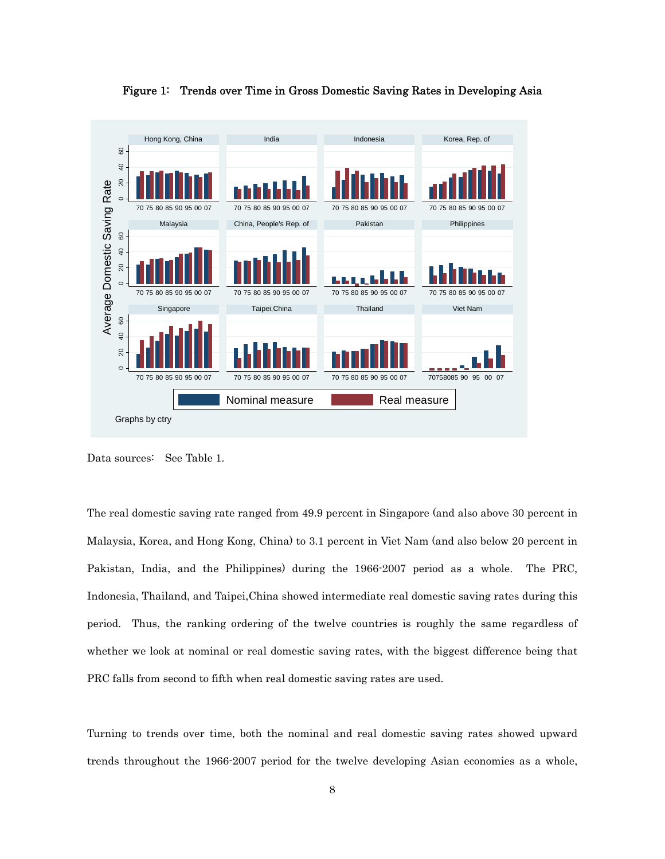

Figure 1: Trends over Time in Gross Domestic Saving Rates in Developing Asia

Data sources: See Table 1.

The real domestic saving rate ranged from 49.9 percent in Singapore (and also above 30 percent in Malaysia, Korea, and Hong Kong, China) to 3.1 percent in Viet Nam (and also below 20 percent in Pakistan, India, and the Philippines) during the 1966-2007 period as a whole. The PRC, Indonesia, Thailand, and Taipei,China showed intermediate real domestic saving rates during this period. Thus, the ranking ordering of the twelve countries is roughly the same regardless of whether we look at nominal or real domestic saving rates, with the biggest difference being that PRC falls from second to fifth when real domestic saving rates are used.

Turning to trends over time, both the nominal and real domestic saving rates showed upward trends throughout the 1966-2007 period for the twelve developing Asian economies as a whole,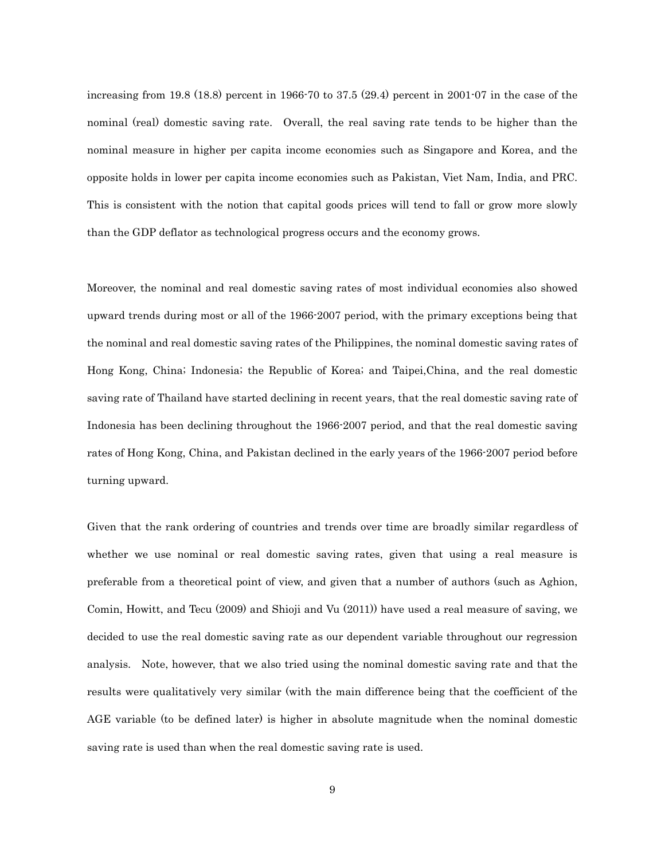increasing from 19.8 (18.8) percent in 1966-70 to 37.5 (29.4) percent in 2001-07 in the case of the nominal (real) domestic saving rate. Overall, the real saving rate tends to be higher than the nominal measure in higher per capita income economies such as Singapore and Korea, and the opposite holds in lower per capita income economies such as Pakistan, Viet Nam, India, and PRC. This is consistent with the notion that capital goods prices will tend to fall or grow more slowly than the GDP deflator as technological progress occurs and the economy grows.

Moreover, the nominal and real domestic saving rates of most individual economies also showed upward trends during most or all of the 1966-2007 period, with the primary exceptions being that the nominal and real domestic saving rates of the Philippines, the nominal domestic saving rates of Hong Kong, China; Indonesia; the Republic of Korea; and Taipei,China, and the real domestic saving rate of Thailand have started declining in recent years, that the real domestic saving rate of Indonesia has been declining throughout the 1966-2007 period, and that the real domestic saving rates of Hong Kong, China, and Pakistan declined in the early years of the 1966-2007 period before turning upward.

Given that the rank ordering of countries and trends over time are broadly similar regardless of whether we use nominal or real domestic saving rates, given that using a real measure is preferable from a theoretical point of view, and given that a number of authors (such as Aghion, Comin, Howitt, and Tecu (2009) and Shioji and Vu (2011)) have used a real measure of saving, we decided to use the real domestic saving rate as our dependent variable throughout our regression analysis. Note, however, that we also tried using the nominal domestic saving rate and that the results were qualitatively very similar (with the main difference being that the coefficient of the AGE variable (to be defined later) is higher in absolute magnitude when the nominal domestic saving rate is used than when the real domestic saving rate is used.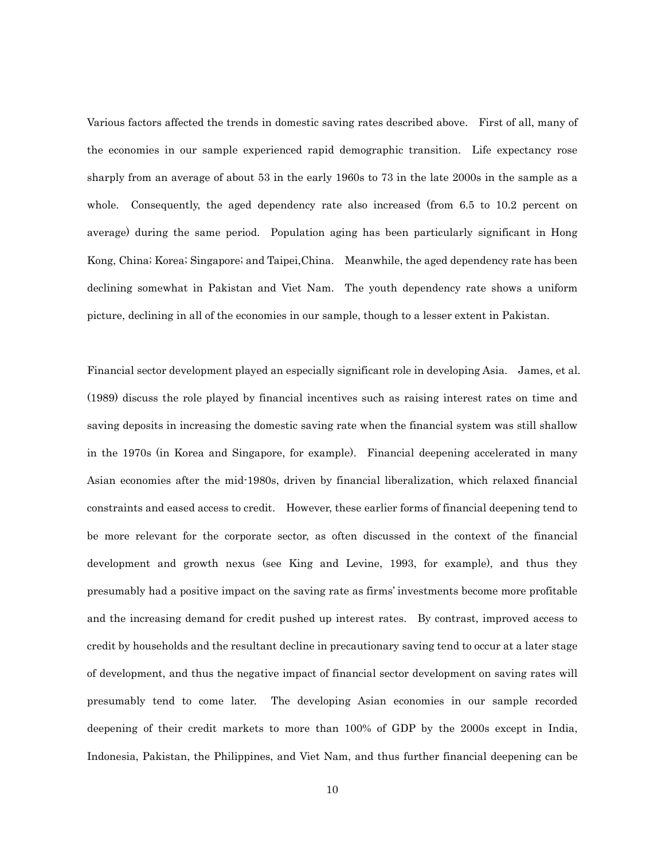Various factors affected the trends in domestic saving rates described above. First of all, many of the economies in our sample experienced rapid demographic transition. Life expectancy rose sharply from an average of about 53 in the early 1960s to 73 in the late 2000s in the sample as a whole. Consequently, the aged dependency rate also increased (from 6.5 to 10.2 percent on average) during the same period. Population aging has been particularly significant in Hong Kong, China; Korea; Singapore; and Taipei,China. Meanwhile, the aged dependency rate has been declining somewhat in Pakistan and Viet Nam. The youth dependency rate shows a uniform picture, declining in all of the economies in our sample, though to a lesser extent in Pakistan.

Financial sector development played an especially significant role in developing Asia. James, et al. (1989) discuss the role played by financial incentives such as raising interest rates on time and saving deposits in increasing the domestic saving rate when the financial system was still shallow in the 1970s (in Korea and Singapore, for example). Financial deepening accelerated in many Asian economies after the mid-1980s, driven by financial liberalization, which relaxed financial constraints and eased access to credit. However, these earlier forms of financial deepening tend to be more relevant for the corporate sector, as often discussed in the context of the financial development and growth nexus (see King and Levine, 1993, for example), and thus they presumably had a positive impact on the saving rate as firms' investments become more profitable and the increasing demand for credit pushed up interest rates. By contrast, improved access to credit by households and the resultant decline in precautionary saving tend to occur at a later stage of development, and thus the negative impact of financial sector development on saving rates will presumably tend to come later. The developing Asian economies in our sample recorded deepening of their credit markets to more than 100% of GDP by the 2000s except in India, Indonesia, Pakistan, the Philippines, and Viet Nam, and thus further financial deepening can be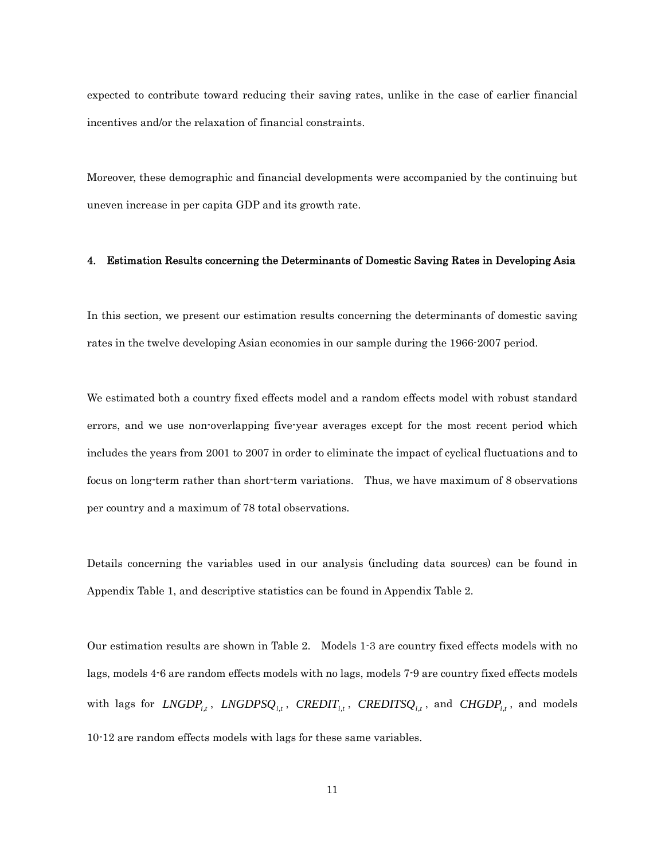expected to contribute toward reducing their saving rates, unlike in the case of earlier financial incentives and/or the relaxation of financial constraints.

Moreover, these demographic and financial developments were accompanied by the continuing but uneven increase in per capita GDP and its growth rate.

#### 4. Estimation Results concerning the Determinants of Domestic Saving Rates in Developing Asia

In this section, we present our estimation results concerning the determinants of domestic saving rates in the twelve developing Asian economies in our sample during the 1966-2007 period.

We estimated both a country fixed effects model and a random effects model with robust standard errors, and we use non-overlapping five-year averages except for the most recent period which includes the years from 2001 to 2007 in order to eliminate the impact of cyclical fluctuations and to focus on long-term rather than short-term variations. Thus, we have maximum of 8 observations per country and a maximum of 78 total observations.

Details concerning the variables used in our analysis (including data sources) can be found in Appendix Table 1, and descriptive statistics can be found in Appendix Table 2.

Our estimation results are shown in Table 2. Models 1-3 are country fixed effects models with no lags, models 4-6 are random effects models with no lags, models 7-9 are country fixed effects models with lags for *LNGDP*<sub>*i,t*</sub></sub>, *LNGDPS* $Q_{i,t}$ , *CREDIT*<sub>*i,t*</sub>, *CREDITS* $Q_{i,t}$ , and *CHGDP*<sub>*i,t*</sub>, and models 10-12 are random effects models with lags for these same variables.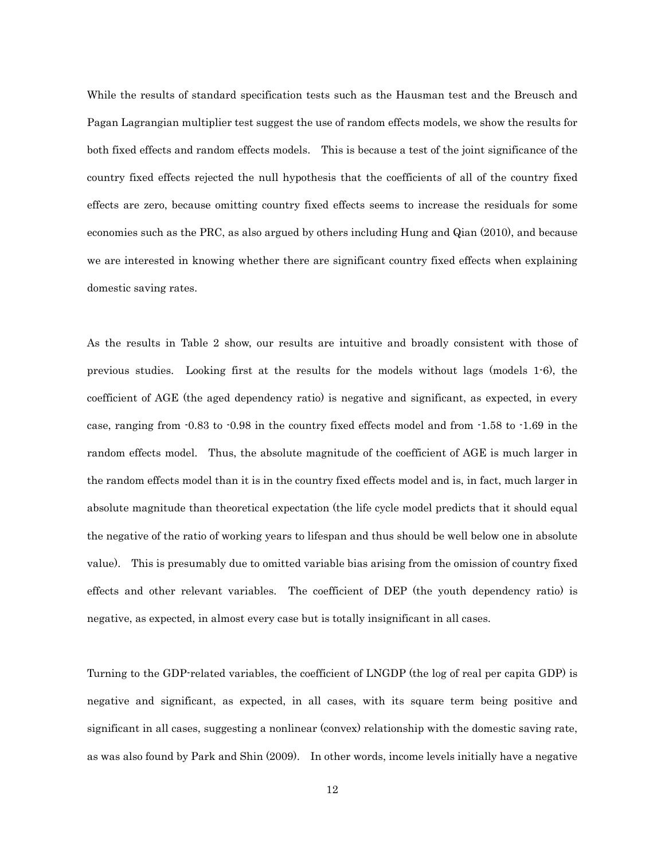While the results of standard specification tests such as the Hausman test and the Breusch and Pagan Lagrangian multiplier test suggest the use of random effects models, we show the results for both fixed effects and random effects models. This is because a test of the joint significance of the country fixed effects rejected the null hypothesis that the coefficients of all of the country fixed effects are zero, because omitting country fixed effects seems to increase the residuals for some economies such as the PRC, as also argued by others including Hung and Qian (2010), and because we are interested in knowing whether there are significant country fixed effects when explaining domestic saving rates.

As the results in Table 2 show, our results are intuitive and broadly consistent with those of previous studies. Looking first at the results for the models without lags (models 1-6), the coefficient of AGE (the aged dependency ratio) is negative and significant, as expected, in every case, ranging from -0.83 to -0.98 in the country fixed effects model and from -1.58 to -1.69 in the random effects model. Thus, the absolute magnitude of the coefficient of AGE is much larger in the random effects model than it is in the country fixed effects model and is, in fact, much larger in absolute magnitude than theoretical expectation (the life cycle model predicts that it should equal the negative of the ratio of working years to lifespan and thus should be well below one in absolute value). This is presumably due to omitted variable bias arising from the omission of country fixed effects and other relevant variables. The coefficient of DEP (the youth dependency ratio) is negative, as expected, in almost every case but is totally insignificant in all cases.

Turning to the GDP-related variables, the coefficient of LNGDP (the log of real per capita GDP) is negative and significant, as expected, in all cases, with its square term being positive and significant in all cases, suggesting a nonlinear (convex) relationship with the domestic saving rate, as was also found by Park and Shin (2009). In other words, income levels initially have a negative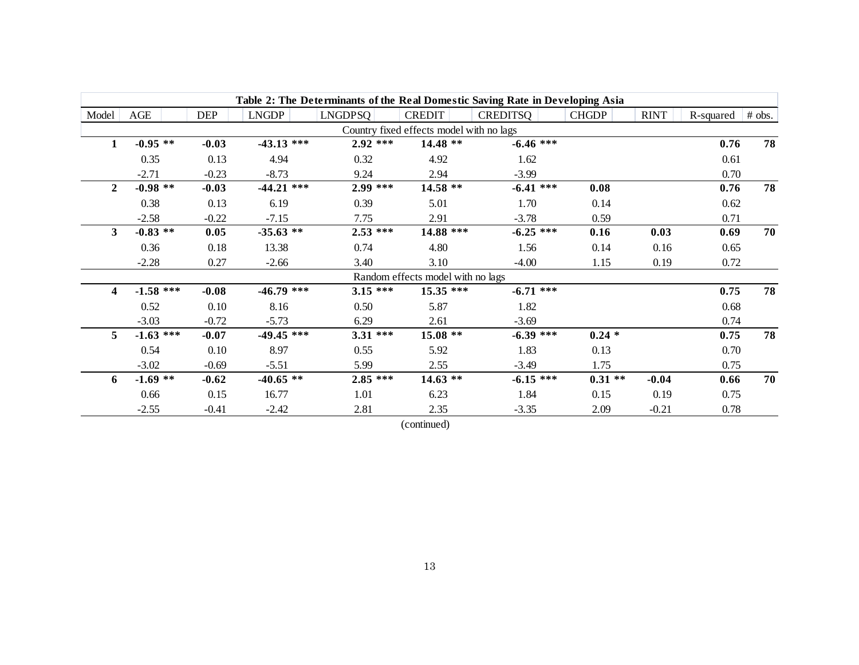|                         |             |            |              |            |                                          | Table 2: The Determinants of the Real Domestic Saving Rate in Developing Asia |              |             |           |        |
|-------------------------|-------------|------------|--------------|------------|------------------------------------------|-------------------------------------------------------------------------------|--------------|-------------|-----------|--------|
| Model                   | AGE         | <b>DEP</b> | <b>LNGDP</b> | LNGDPSQ    | <b>CREDIT</b>                            | <b>CREDITSQ</b>                                                               | <b>CHGDP</b> | <b>RINT</b> | R-squared | # obs. |
|                         |             |            |              |            | Country fixed effects model with no lags |                                                                               |              |             |           |        |
| 1                       | $-0.95**$   | $-0.03$    | $-43.13$ *** | $2.92$ *** | 14.48 **                                 | $-6.46$ ***                                                                   |              |             | 0.76      | 78     |
|                         | 0.35        | 0.13       | 4.94         | 0.32       | 4.92                                     | 1.62                                                                          |              |             | 0.61      |        |
|                         | $-2.71$     | $-0.23$    | $-8.73$      | 9.24       | 2.94                                     | $-3.99$                                                                       |              |             | 0.70      |        |
| $\overline{2}$          | $-0.98$ **  | $-0.03$    | $-44.21$ *** | $2.99***$  | 14.58 **                                 | $-6.41$ ***                                                                   | 0.08         |             | 0.76      | 78     |
|                         | 0.38        | 0.13       | 6.19         | 0.39       | 5.01                                     | 1.70                                                                          | 0.14         |             | 0.62      |        |
|                         | $-2.58$     | $-0.22$    | $-7.15$      | 7.75       | 2.91                                     | $-3.78$                                                                       | 0.59         |             | 0.71      |        |
| $\mathbf{3}$            | $-0.83$ **  | 0.05       | $-35.63$ **  | $2.53$ *** | 14.88 ***                                | $-6.25$ ***                                                                   | 0.16         | 0.03        | 0.69      | 70     |
|                         | 0.36        | 0.18       | 13.38        | 0.74       | 4.80                                     | 1.56                                                                          | 0.14         | 0.16        | 0.65      |        |
|                         | $-2.28$     | 0.27       | $-2.66$      | 3.40       | 3.10                                     | $-4.00$                                                                       | 1.15         | 0.19        | 0.72      |        |
|                         |             |            |              |            | Random effects model with no lags        |                                                                               |              |             |           |        |
| $\overline{\mathbf{4}}$ | $-1.58$ *** | $-0.08$    | $-46.79$ *** | $3.15***$  | $15.35$ ***                              | $-6.71$ ***                                                                   |              |             | 0.75      | 78     |
|                         | 0.52        | 0.10       | 8.16         | 0.50       | 5.87                                     | 1.82                                                                          |              |             | 0.68      |        |
|                         | $-3.03$     | $-0.72$    | $-5.73$      | 6.29       | 2.61                                     | $-3.69$                                                                       |              |             | 0.74      |        |
| $5^{\circ}$             | $-1.63$ *** | $-0.07$    | $-49.45$ *** | $3.31$ *** | $15.08**$                                | $-6.39$ ***                                                                   | $0.24*$      |             | 0.75      | 78     |
|                         | 0.54        | 0.10       | 8.97         | 0.55       | 5.92                                     | 1.83                                                                          | 0.13         |             | 0.70      |        |
|                         | $-3.02$     | $-0.69$    | $-5.51$      | 5.99       | 2.55                                     | $-3.49$                                                                       | 1.75         |             | 0.75      |        |
| 6                       | $-1.69$ **  | $-0.62$    | $-40.65$ **  | $2.85$ *** | $14.63$ **                               | $-6.15$ ***                                                                   | $0.31**$     | $-0.04$     | 0.66      | 70     |
|                         | 0.66        | 0.15       | 16.77        | 1.01       | 6.23                                     | 1.84                                                                          | 0.15         | 0.19        | 0.75      |        |
|                         | $-2.55$     | $-0.41$    | $-2.42$      | 2.81       | 2.35                                     | $-3.35$                                                                       | 2.09         | $-0.21$     | 0.78      |        |

(continued)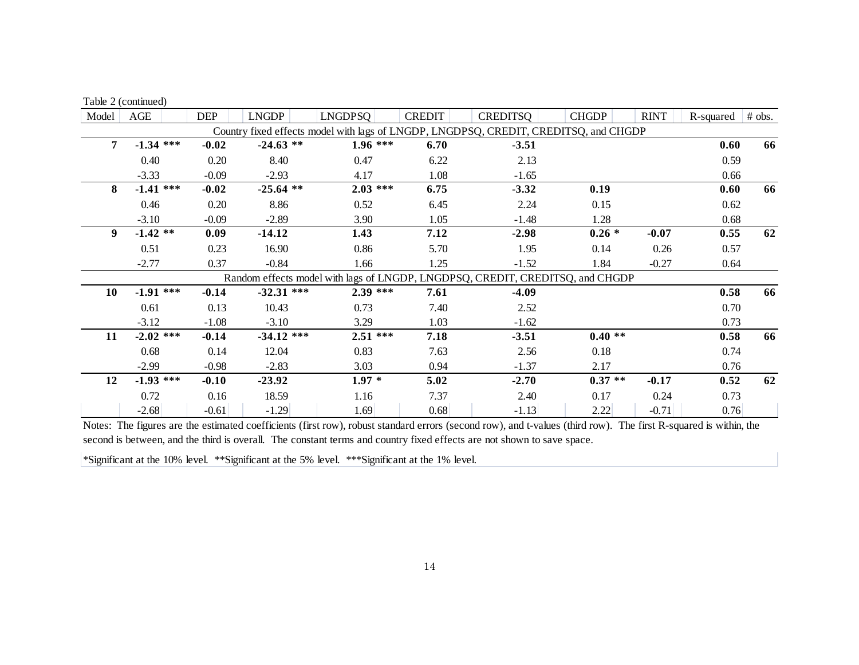|       | Table 2 (continued) |            |              |                |               |                                                                                      |              |             |           |        |
|-------|---------------------|------------|--------------|----------------|---------------|--------------------------------------------------------------------------------------|--------------|-------------|-----------|--------|
| Model | AGE                 | <b>DEP</b> | <b>LNGDP</b> | <b>LNGDPSQ</b> | <b>CREDIT</b> | <b>CREDITSQ</b>                                                                      | <b>CHGDP</b> | <b>RINT</b> | R-squared | # obs. |
|       |                     |            |              |                |               | Country fixed effects model with lags of LNGDP, LNGDPSQ, CREDIT, CREDITSQ, and CHGDP |              |             |           |        |
| 7     | $-1.34$ ***         | $-0.02$    | $-24.63$ **  | $1.96***$      | 6.70          | $-3.51$                                                                              |              |             | 0.60      | 66     |
|       | 0.40                | 0.20       | 8.40         | 0.47           | 6.22          | 2.13                                                                                 |              |             | 0.59      |        |
|       | $-3.33$             | $-0.09$    | $-2.93$      | 4.17           | 1.08          | $-1.65$                                                                              |              |             | 0.66      |        |
| 8     | $-1.41$ ***         | $-0.02$    | $-25.64$ **  | $2.03$ ***     | 6.75          | $-3.32$                                                                              | 0.19         |             | 0.60      | 66     |
|       | 0.46                | 0.20       | 8.86         | 0.52           | 6.45          | 2.24                                                                                 | 0.15         |             | 0.62      |        |
|       | $-3.10$             | $-0.09$    | $-2.89$      | 3.90           | 1.05          | $-1.48$                                                                              | 1.28         |             | 0.68      |        |
| 9     | $-1.42$ **          | 0.09       | $-14.12$     | 1.43           | 7.12          | $-2.98$                                                                              | $0.26*$      | $-0.07$     | 0.55      | 62     |
|       | 0.51                | 0.23       | 16.90        | 0.86           | 5.70          | 1.95                                                                                 | 0.14         | 0.26        | 0.57      |        |
|       | $-2.77$             | 0.37       | $-0.84$      | 1.66           | 1.25          | $-1.52$                                                                              | 1.84         | $-0.27$     | 0.64      |        |
|       |                     |            |              |                |               | Random effects model with lags of LNGDP, LNGDPSQ, CREDIT, CREDITSQ, and CHGDP        |              |             |           |        |
| 10    | $-1.91$ ***         | $-0.14$    | $-32.31$ *** | $2.39$ ***     | 7.61          | $-4.09$                                                                              |              |             | 0.58      | 66     |
|       | 0.61                | 0.13       | 10.43        | 0.73           | 7.40          | 2.52                                                                                 |              |             | 0.70      |        |
|       | $-3.12$             | $-1.08$    | $-3.10$      | 3.29           | 1.03          | $-1.62$                                                                              |              |             | 0.73      |        |
| 11    | $-2.02$ ***         | $-0.14$    | $-34.12$ *** | $2.51***$      | 7.18          | $-3.51$                                                                              | $0.40**$     |             | 0.58      | 66     |
|       | 0.68                | 0.14       | 12.04        | 0.83           | 7.63          | 2.56                                                                                 | 0.18         |             | 0.74      |        |
|       | $-2.99$             | $-0.98$    | $-2.83$      | 3.03           | 0.94          | $-1.37$                                                                              | 2.17         |             | 0.76      |        |
| 12    | $-1.93$ ***         | $-0.10$    | $-23.92$     | $1.97*$        | 5.02          | $-2.70$                                                                              | $0.37**$     | $-0.17$     | 0.52      | 62     |
|       | 0.72                | 0.16       | 18.59        | 1.16           | 7.37          | 2.40                                                                                 | 0.17         | 0.24        | 0.73      |        |
|       | $-2.68$             | $-0.61$    | $-1.29$      | 1.69           | 0.68          | $-1.13$                                                                              | 2.22         | $-0.71$     | 0.76      |        |

Notes: The figures are the estimated coefficients (first row), robust standard errors (second row), and t-values (third row). The first R-squared is within, the second is between, and the third is overall. The constant terms and country fixed effects are not shown to save space.

\*Significant at the 10% level. \*\*Significant at the 5% level. \*\*\*Significant at the 1% level.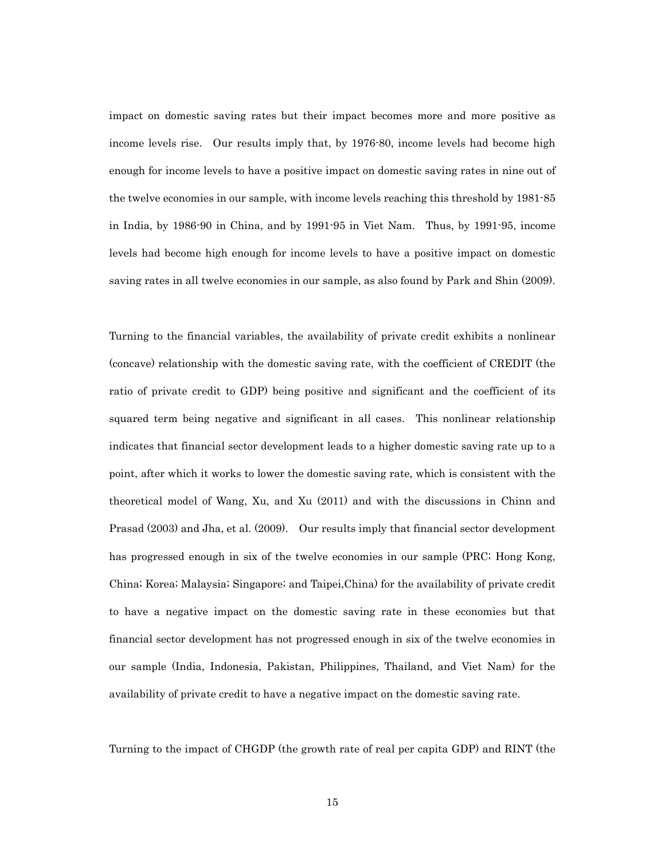impact on domestic saving rates but their impact becomes more and more positive as income levels rise. Our results imply that, by 1976-80, income levels had become high enough for income levels to have a positive impact on domestic saving rates in nine out of the twelve economies in our sample, with income levels reaching this threshold by 1981-85 in India, by 1986-90 in China, and by 1991-95 in Viet Nam. Thus, by 1991-95, income levels had become high enough for income levels to have a positive impact on domestic saving rates in all twelve economies in our sample, as also found by Park and Shin (2009).

Turning to the financial variables, the availability of private credit exhibits a nonlinear (concave) relationship with the domestic saving rate, with the coefficient of CREDIT (the ratio of private credit to GDP) being positive and significant and the coefficient of its squared term being negative and significant in all cases. This nonlinear relationship indicates that financial sector development leads to a higher domestic saving rate up to a point, after which it works to lower the domestic saving rate, which is consistent with the theoretical model of Wang, Xu, and Xu (2011) and with the discussions in Chinn and Prasad (2003) and Jha, et al. (2009). Our results imply that financial sector development has progressed enough in six of the twelve economies in our sample (PRC; Hong Kong, China; Korea; Malaysia; Singapore; and Taipei,China) for the availability of private credit to have a negative impact on the domestic saving rate in these economies but that financial sector development has not progressed enough in six of the twelve economies in our sample (India, Indonesia, Pakistan, Philippines, Thailand, and Viet Nam) for the availability of private credit to have a negative impact on the domestic saving rate.

Turning to the impact of CHGDP (the growth rate of real per capita GDP) and RINT (the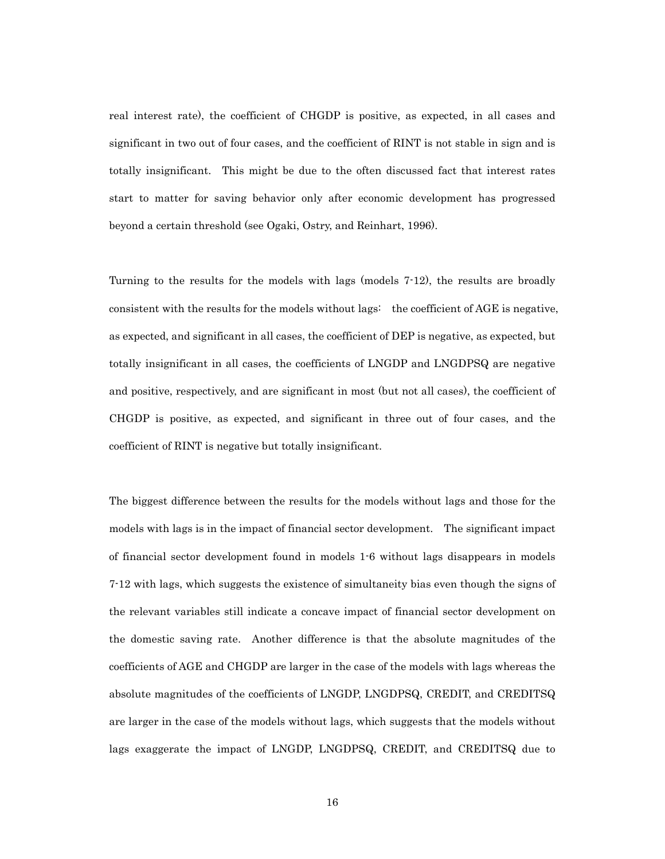real interest rate), the coefficient of CHGDP is positive, as expected, in all cases and significant in two out of four cases, and the coefficient of RINT is not stable in sign and is totally insignificant. This might be due to the often discussed fact that interest rates start to matter for saving behavior only after economic development has progressed beyond a certain threshold (see Ogaki, Ostry, and Reinhart, 1996).

Turning to the results for the models with lags (models 7-12), the results are broadly consistent with the results for the models without lags: the coefficient of AGE is negative, as expected, and significant in all cases, the coefficient of DEP is negative, as expected, but totally insignificant in all cases, the coefficients of LNGDP and LNGDPSQ are negative and positive, respectively, and are significant in most (but not all cases), the coefficient of CHGDP is positive, as expected, and significant in three out of four cases, and the coefficient of RINT is negative but totally insignificant.

The biggest difference between the results for the models without lags and those for the models with lags is in the impact of financial sector development. The significant impact of financial sector development found in models 1-6 without lags disappears in models 7-12 with lags, which suggests the existence of simultaneity bias even though the signs of the relevant variables still indicate a concave impact of financial sector development on the domestic saving rate. Another difference is that the absolute magnitudes of the coefficients of AGE and CHGDP are larger in the case of the models with lags whereas the absolute magnitudes of the coefficients of LNGDP, LNGDPSQ, CREDIT, and CREDITSQ are larger in the case of the models without lags, which suggests that the models without lags exaggerate the impact of LNGDP, LNGDPSQ, CREDIT, and CREDITSQ due to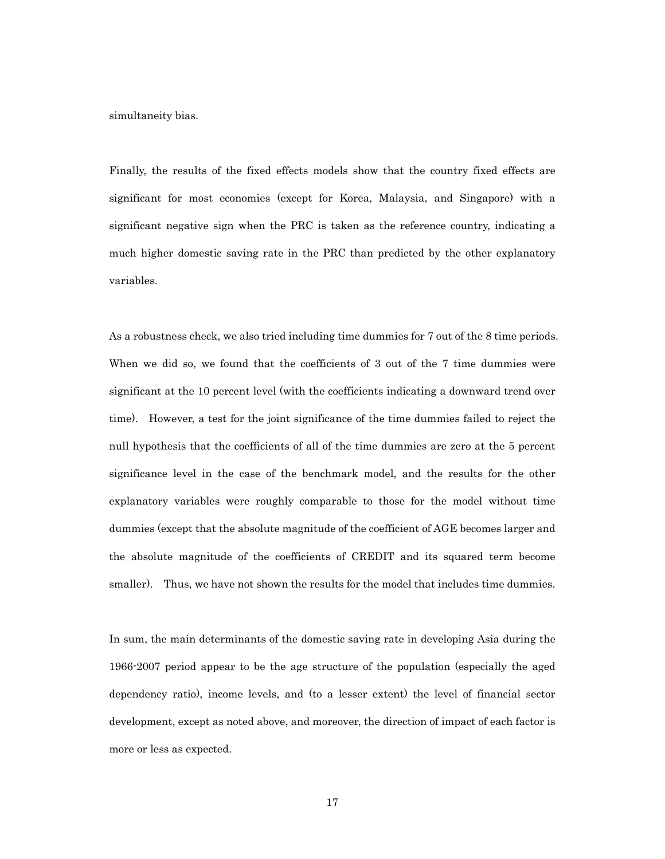simultaneity bias.

Finally, the results of the fixed effects models show that the country fixed effects are significant for most economies (except for Korea, Malaysia, and Singapore) with a significant negative sign when the PRC is taken as the reference country, indicating a much higher domestic saving rate in the PRC than predicted by the other explanatory variables.

As a robustness check, we also tried including time dummies for 7 out of the 8 time periods. When we did so, we found that the coefficients of 3 out of the 7 time dummies were significant at the 10 percent level (with the coefficients indicating a downward trend over time). However, a test for the joint significance of the time dummies failed to reject the null hypothesis that the coefficients of all of the time dummies are zero at the 5 percent significance level in the case of the benchmark model, and the results for the other explanatory variables were roughly comparable to those for the model without time dummies (except that the absolute magnitude of the coefficient of AGE becomes larger and the absolute magnitude of the coefficients of CREDIT and its squared term become smaller). Thus, we have not shown the results for the model that includes time dummies.

In sum, the main determinants of the domestic saving rate in developing Asia during the 1966-2007 period appear to be the age structure of the population (especially the aged dependency ratio), income levels, and (to a lesser extent) the level of financial sector development, except as noted above, and moreover, the direction of impact of each factor is more or less as expected.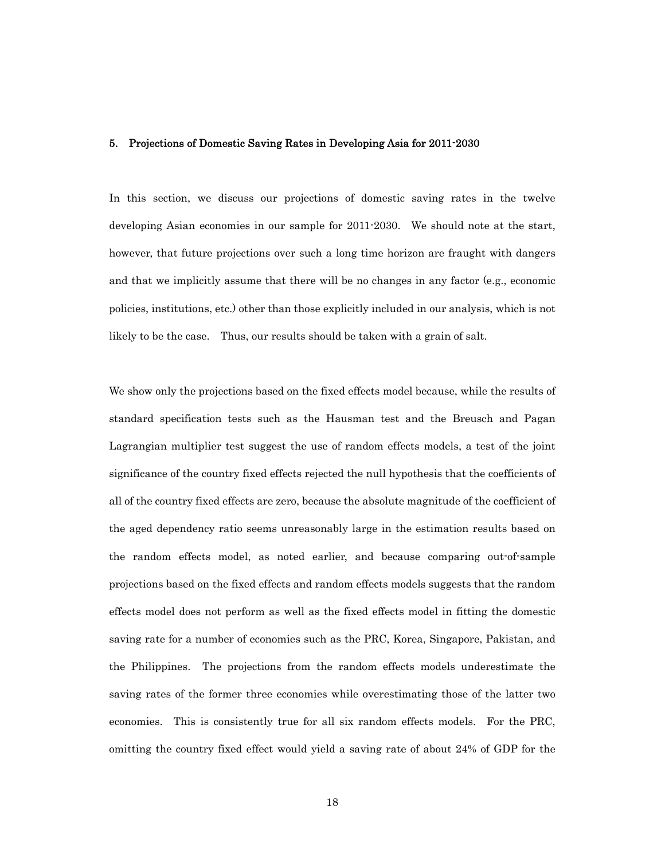### 5. Projections of Domestic Saving Rates in Developing Asia for 2011-2030

In this section, we discuss our projections of domestic saving rates in the twelve developing Asian economies in our sample for 2011-2030. We should note at the start, however, that future projections over such a long time horizon are fraught with dangers and that we implicitly assume that there will be no changes in any factor (e.g., economic policies, institutions, etc.) other than those explicitly included in our analysis, which is not likely to be the case. Thus, our results should be taken with a grain of salt.

We show only the projections based on the fixed effects model because, while the results of standard specification tests such as the Hausman test and the Breusch and Pagan Lagrangian multiplier test suggest the use of random effects models, a test of the joint significance of the country fixed effects rejected the null hypothesis that the coefficients of all of the country fixed effects are zero, because the absolute magnitude of the coefficient of the aged dependency ratio seems unreasonably large in the estimation results based on the random effects model, as noted earlier, and because comparing out-of-sample projections based on the fixed effects and random effects models suggests that the random effects model does not perform as well as the fixed effects model in fitting the domestic saving rate for a number of economies such as the PRC, Korea, Singapore, Pakistan, and the Philippines. The projections from the random effects models underestimate the saving rates of the former three economies while overestimating those of the latter two economies. This is consistently true for all six random effects models. For the PRC, omitting the country fixed effect would yield a saving rate of about 24% of GDP for the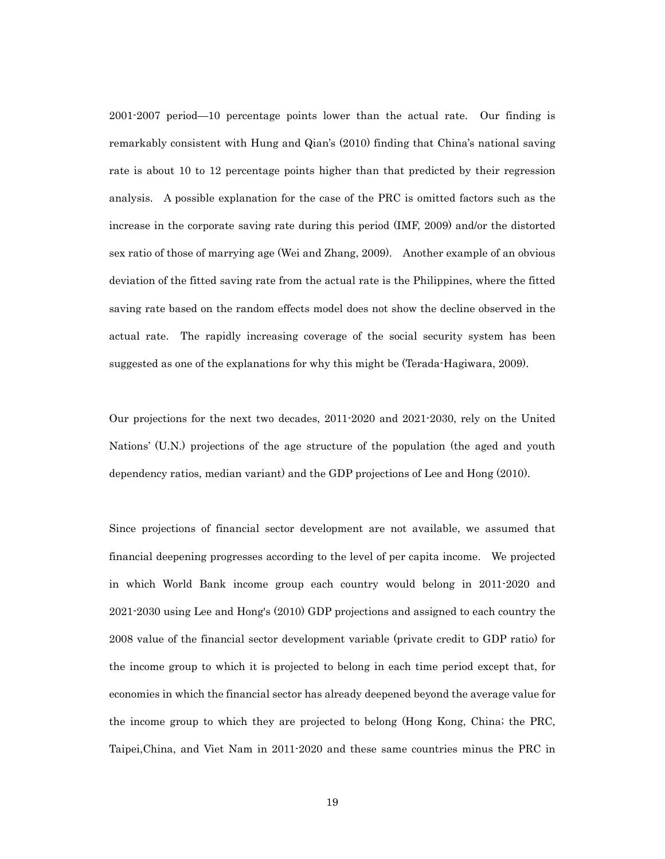2001-2007 period—10 percentage points lower than the actual rate. Our finding is remarkably consistent with Hung and Qian's (2010) finding that China's national saving rate is about 10 to 12 percentage points higher than that predicted by their regression analysis. A possible explanation for the case of the PRC is omitted factors such as the increase in the corporate saving rate during this period (IMF, 2009) and/or the distorted sex ratio of those of marrying age (Wei and Zhang, 2009). Another example of an obvious deviation of the fitted saving rate from the actual rate is the Philippines, where the fitted saving rate based on the random effects model does not show the decline observed in the actual rate. The rapidly increasing coverage of the social security system has been suggested as one of the explanations for why this might be (Terada-Hagiwara, 2009).

Our projections for the next two decades, 2011-2020 and 2021-2030, rely on the United Nations' (U.N.) projections of the age structure of the population (the aged and youth dependency ratios, median variant) and the GDP projections of Lee and Hong (2010).

Since projections of financial sector development are not available, we assumed that financial deepening progresses according to the level of per capita income. We projected in which World Bank income group each country would belong in 2011-2020 and 2021-2030 using Lee and Hong's (2010) GDP projections and assigned to each country the 2008 value of the financial sector development variable (private credit to GDP ratio) for the income group to which it is projected to belong in each time period except that, for economies in which the financial sector has already deepened beyond the average value for the income group to which they are projected to belong (Hong Kong, China; the PRC, Taipei,China, and Viet Nam in 2011-2020 and these same countries minus the PRC in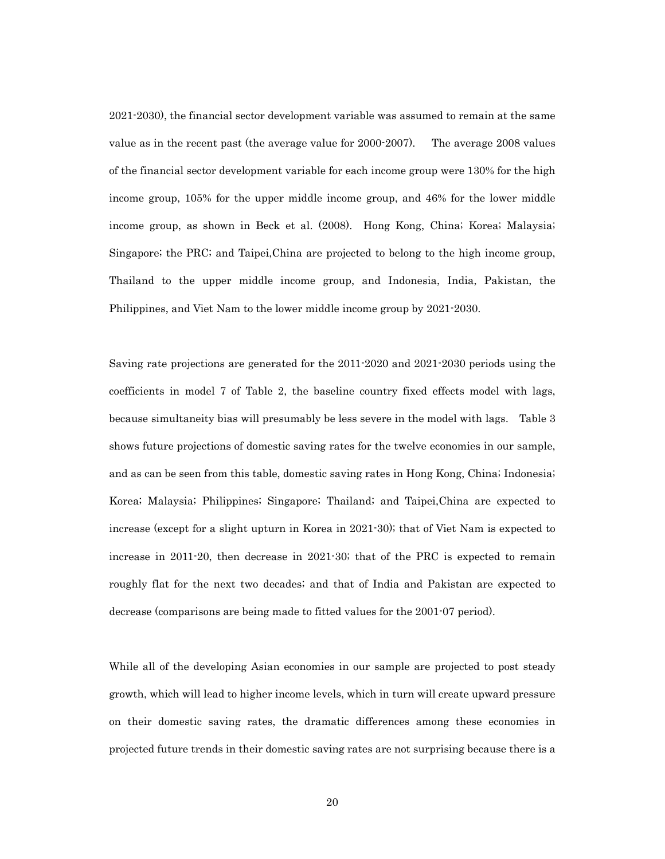2021-2030), the financial sector development variable was assumed to remain at the same value as in the recent past (the average value for 2000-2007). The average 2008 values of the financial sector development variable for each income group were 130% for the high income group, 105% for the upper middle income group, and 46% for the lower middle income group, as shown in Beck et al. (2008). Hong Kong, China; Korea; Malaysia; Singapore; the PRC; and Taipei,China are projected to belong to the high income group, Thailand to the upper middle income group, and Indonesia, India, Pakistan, the Philippines, and Viet Nam to the lower middle income group by 2021-2030.

Saving rate projections are generated for the 2011-2020 and 2021-2030 periods using the coefficients in model 7 of Table 2, the baseline country fixed effects model with lags, because simultaneity bias will presumably be less severe in the model with lags. Table 3 shows future projections of domestic saving rates for the twelve economies in our sample, and as can be seen from this table, domestic saving rates in Hong Kong, China; Indonesia; Korea; Malaysia; Philippines; Singapore; Thailand; and Taipei,China are expected to increase (except for a slight upturn in Korea in 2021-30); that of Viet Nam is expected to increase in 2011-20, then decrease in 2021-30; that of the PRC is expected to remain roughly flat for the next two decades; and that of India and Pakistan are expected to decrease (comparisons are being made to fitted values for the 2001-07 period).

While all of the developing Asian economies in our sample are projected to post steady growth, which will lead to higher income levels, which in turn will create upward pressure on their domestic saving rates, the dramatic differences among these economies in projected future trends in their domestic saving rates are not surprising because there is a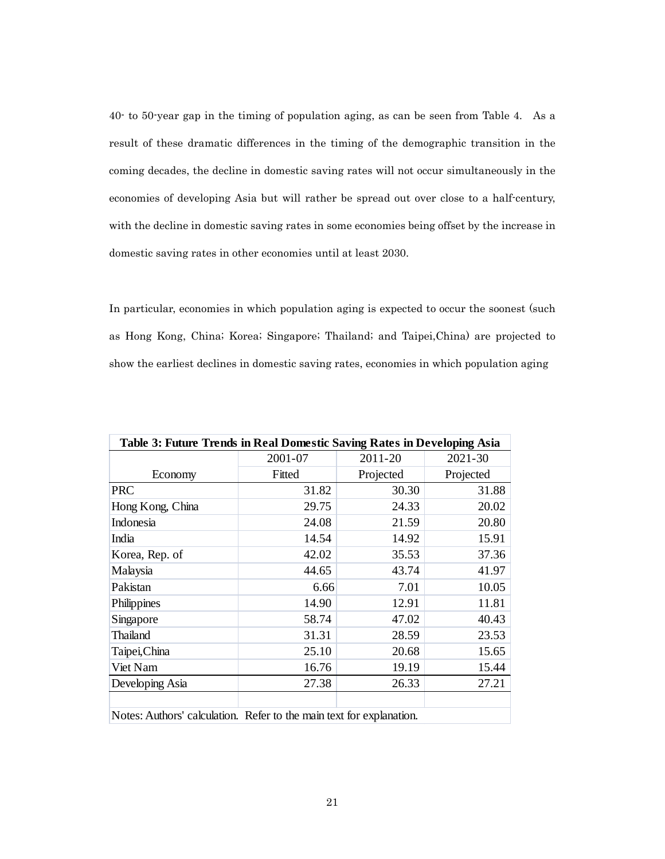40- to 50-year gap in the timing of population aging, as can be seen from Table 4. As a result of these dramatic differences in the timing of the demographic transition in the coming decades, the decline in domestic saving rates will not occur simultaneously in the economies of developing Asia but will rather be spread out over close to a half-century, with the decline in domestic saving rates in some economies being offset by the increase in domestic saving rates in other economies until at least 2030.

In particular, economies in which population aging is expected to occur the soonest (such as Hong Kong, China; Korea; Singapore; Thailand; and Taipei,China) are projected to show the earliest declines in domestic saving rates, economies in which population aging

| Table 3: Future Trends in Real Domestic Saving Rates in Developing Asia |         |           |           |  |  |  |  |  |
|-------------------------------------------------------------------------|---------|-----------|-----------|--|--|--|--|--|
|                                                                         | 2001-07 | 2011-20   | 2021-30   |  |  |  |  |  |
| Economy                                                                 | Fitted  | Projected | Projected |  |  |  |  |  |
| <b>PRC</b>                                                              | 31.82   | 30.30     | 31.88     |  |  |  |  |  |
| Hong Kong, China                                                        | 29.75   | 24.33     | 20.02     |  |  |  |  |  |
| Indonesia                                                               | 24.08   | 21.59     | 20.80     |  |  |  |  |  |
| India                                                                   | 14.54   | 14.92     | 15.91     |  |  |  |  |  |
| Korea, Rep. of                                                          | 42.02   | 35.53     | 37.36     |  |  |  |  |  |
| Malaysia                                                                | 44.65   | 43.74     | 41.97     |  |  |  |  |  |
| Pakistan                                                                | 6.66    | 7.01      | 10.05     |  |  |  |  |  |
| Philippines                                                             | 14.90   | 12.91     | 11.81     |  |  |  |  |  |
| Singapore                                                               | 58.74   | 47.02     | 40.43     |  |  |  |  |  |
| Thailand                                                                | 31.31   | 28.59     | 23.53     |  |  |  |  |  |
| Taipei, China                                                           | 25.10   | 20.68     | 15.65     |  |  |  |  |  |
| Viet Nam                                                                | 16.76   | 19.19     | 15.44     |  |  |  |  |  |
| Developing Asia                                                         | 27.38   | 26.33     | 27.21     |  |  |  |  |  |
|                                                                         |         |           |           |  |  |  |  |  |
| Notes: Authors' calculation. Refer to the main text for explanation.    |         |           |           |  |  |  |  |  |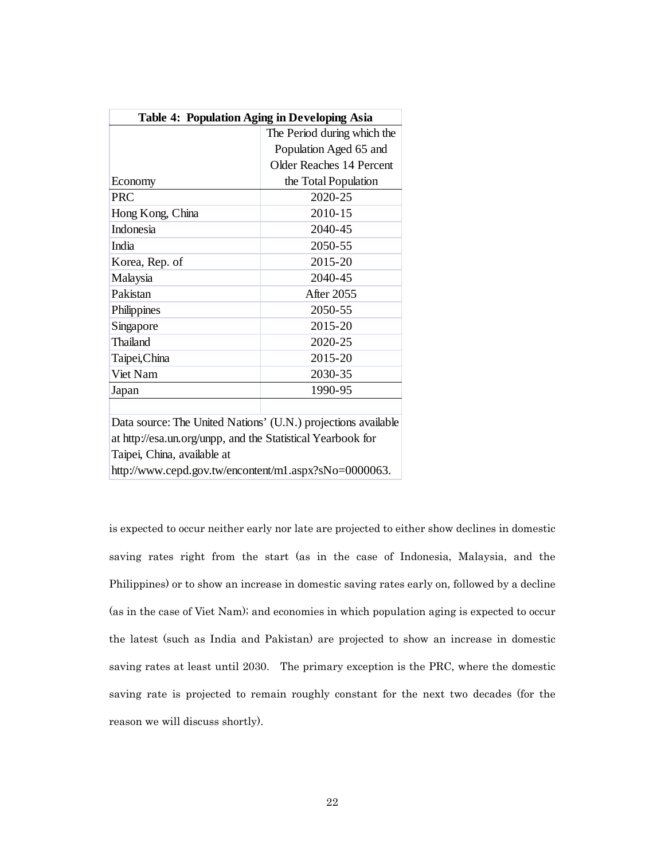| <b>Table 4: Population Aging in Developing Asia</b>           |                                 |  |  |  |  |  |  |
|---------------------------------------------------------------|---------------------------------|--|--|--|--|--|--|
|                                                               | The Period during which the     |  |  |  |  |  |  |
|                                                               | Population Aged 65 and          |  |  |  |  |  |  |
|                                                               | <b>Older Reaches 14 Percent</b> |  |  |  |  |  |  |
| Economy                                                       | the Total Population            |  |  |  |  |  |  |
| <b>PRC</b>                                                    | 2020-25                         |  |  |  |  |  |  |
| Hong Kong, China                                              | 2010-15                         |  |  |  |  |  |  |
| Indonesia                                                     | 2040-45                         |  |  |  |  |  |  |
| India                                                         | 2050-55                         |  |  |  |  |  |  |
| Korea, Rep. of                                                | 2015-20                         |  |  |  |  |  |  |
| Malaysia                                                      | 2040-45                         |  |  |  |  |  |  |
| Pakistan                                                      | <b>After 2055</b>               |  |  |  |  |  |  |
| Philippines                                                   | 2050-55                         |  |  |  |  |  |  |
| Singapore                                                     | 2015-20                         |  |  |  |  |  |  |
| <b>Thailand</b>                                               | 2020-25                         |  |  |  |  |  |  |
| Taipei, China                                                 | 2015-20                         |  |  |  |  |  |  |
| Viet Nam                                                      | 2030-35                         |  |  |  |  |  |  |
| Japan                                                         | 1990-95                         |  |  |  |  |  |  |
|                                                               |                                 |  |  |  |  |  |  |
| Data source: The United Nations' (U.N.) projections available |                                 |  |  |  |  |  |  |
| at http://esa.un.org/unpp, and the Statistical Yearbook for   |                                 |  |  |  |  |  |  |
| Taipei, China, available at                                   |                                 |  |  |  |  |  |  |
| http://www.cepd.gov.tw/encontent/m1.aspx?sNo=0000063.         |                                 |  |  |  |  |  |  |

is expected to occur neither early nor late are projected to either show declines in domestic saving rates right from the start (as in the case of Indonesia, Malaysia, and the Philippines) or to show an increase in domestic saving rates early on, followed by a decline (as in the case of Viet Nam); and economies in which population aging is expected to occur the latest (such as India and Pakistan) are projected to show an increase in domestic saving rates at least until 2030. The primary exception is the PRC, where the domestic saving rate is projected to remain roughly constant for the next two decades (for the reason we will discuss shortly).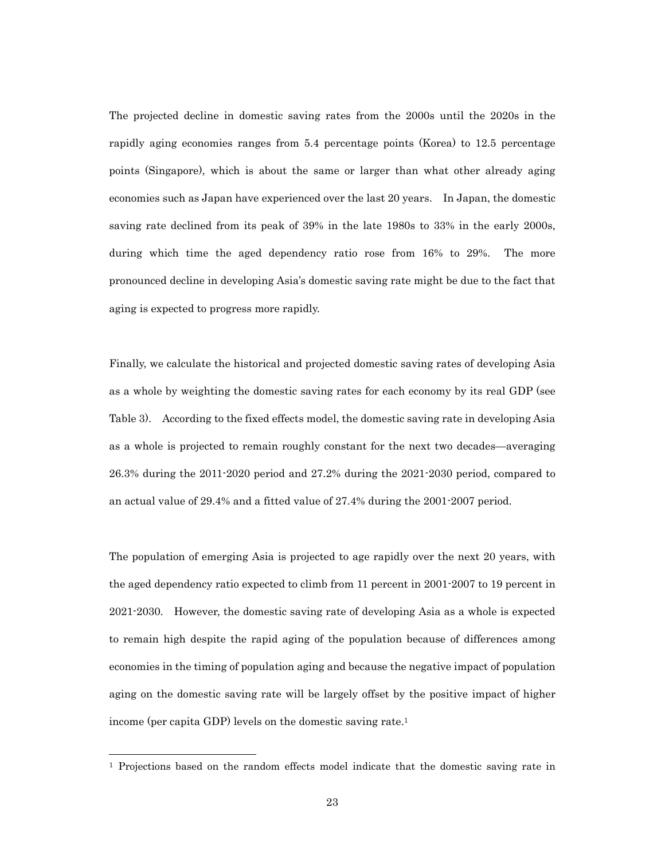The projected decline in domestic saving rates from the 2000s until the 2020s in the rapidly aging economies ranges from 5.4 percentage points (Korea) to 12.5 percentage points (Singapore), which is about the same or larger than what other already aging economies such as Japan have experienced over the last 20 years. In Japan, the domestic saving rate declined from its peak of 39% in the late 1980s to 33% in the early 2000s, during which time the aged dependency ratio rose from 16% to 29%. The more pronounced decline in developing Asia's domestic saving rate might be due to the fact that aging is expected to progress more rapidly.

Finally, we calculate the historical and projected domestic saving rates of developing Asia as a whole by weighting the domestic saving rates for each economy by its real GDP (see Table 3). According to the fixed effects model, the domestic saving rate in developing Asia as a whole is projected to remain roughly constant for the next two decades—averaging 26.3% during the 2011-2020 period and 27.2% during the 2021-2030 period, compared to an actual value of 29.4% and a fitted value of 27.4% during the 2001-2007 period.

The population of emerging Asia is projected to age rapidly over the next 20 years, with the aged dependency ratio expected to climb from 11 percent in 2001-2007 to 19 percent in 2021-2030. However, the domestic saving rate of developing Asia as a whole is expected to remain high despite the rapid aging of the population because of differences among economies in the timing of population aging and because the negative impact of population aging on the domestic saving rate will be largely offset by the positive impact of higher income (per capita GDP) levels on the domestic saving rate.1

l

<sup>1</sup> Projections based on the random effects model indicate that the domestic saving rate in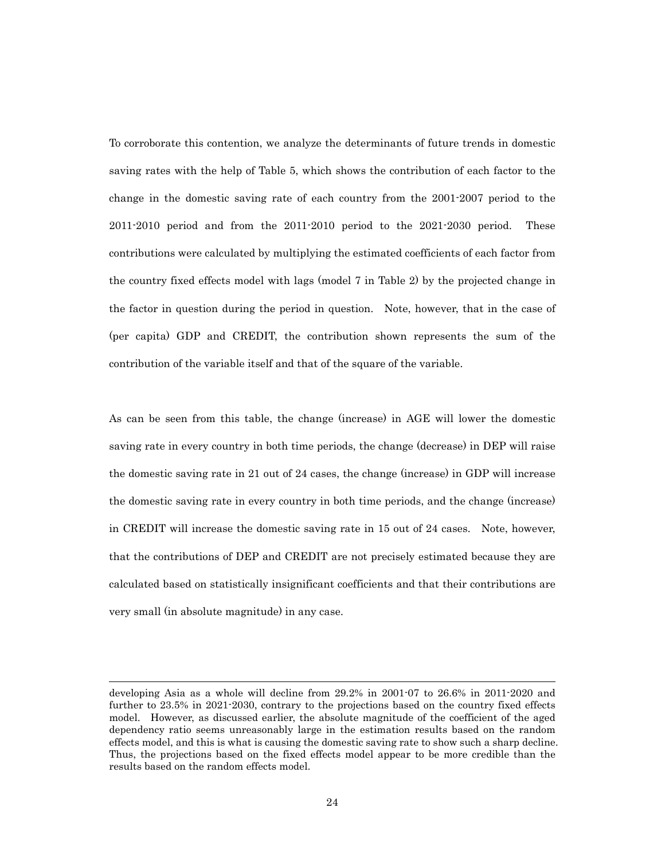To corroborate this contention, we analyze the determinants of future trends in domestic saving rates with the help of Table 5, which shows the contribution of each factor to the change in the domestic saving rate of each country from the 2001-2007 period to the 2011-2010 period and from the 2011-2010 period to the 2021-2030 period. These contributions were calculated by multiplying the estimated coefficients of each factor from the country fixed effects model with lags (model 7 in Table 2) by the projected change in the factor in question during the period in question. Note, however, that in the case of (per capita) GDP and CREDIT, the contribution shown represents the sum of the contribution of the variable itself and that of the square of the variable.

As can be seen from this table, the change (increase) in AGE will lower the domestic saving rate in every country in both time periods, the change (decrease) in DEP will raise the domestic saving rate in 21 out of 24 cases, the change (increase) in GDP will increase the domestic saving rate in every country in both time periods, and the change (increase) in CREDIT will increase the domestic saving rate in 15 out of 24 cases. Note, however, that the contributions of DEP and CREDIT are not precisely estimated because they are calculated based on statistically insignificant coefficients and that their contributions are very small (in absolute magnitude) in any case.

l

developing Asia as a whole will decline from 29.2% in 2001-07 to 26.6% in 2011-2020 and further to 23.5% in 2021-2030, contrary to the projections based on the country fixed effects model. However, as discussed earlier, the absolute magnitude of the coefficient of the aged dependency ratio seems unreasonably large in the estimation results based on the random effects model, and this is what is causing the domestic saving rate to show such a sharp decline. Thus, the projections based on the fixed effects model appear to be more credible than the results based on the random effects model.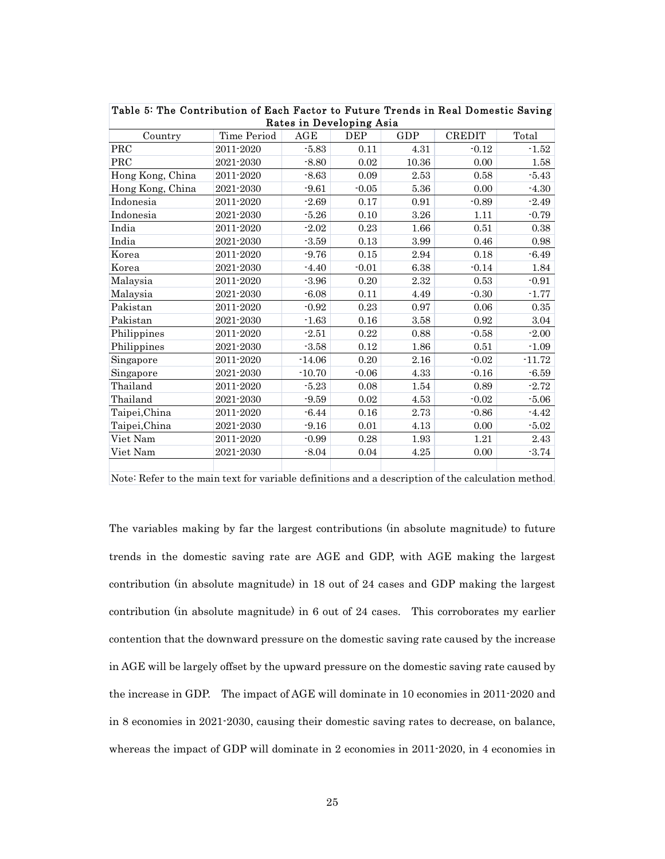| Rates in Developing Asia |             |          |         |            |               |          |  |  |  |  |
|--------------------------|-------------|----------|---------|------------|---------------|----------|--|--|--|--|
| Country                  | Time Period | AGE      | DEP     | GDP        | <b>CREDIT</b> | Total    |  |  |  |  |
| $\operatorname{PRC}$     | 2011-2020   | $-5.83$  | 0.11    | 4.31       | $-0.12$       | $-1.52$  |  |  |  |  |
| PRC                      | 2021-2030   | $-8.80$  | 0.02    | 10.36      | 0.00          | 1.58     |  |  |  |  |
| Hong Kong, China         | 2011-2020   | $-8.63$  | 0.09    | 2.53       | 0.58          | $-5.43$  |  |  |  |  |
| Hong Kong, China         | 2021-2030   | $-9.61$  | $-0.05$ | 5.36       | 0.00          | $-4.30$  |  |  |  |  |
| Indonesia                | 2011-2020   | $-2.69$  | 0.17    | $\rm 0.91$ | $-0.89$       | $-2.49$  |  |  |  |  |
| Indonesia                | 2021-2030   | $-5.26$  | 0.10    | $3.26\,$   | 1.11          | $-0.79$  |  |  |  |  |
| India                    | 2011-2020   | $-2.02$  | 0.23    | 1.66       | 0.51          | 0.38     |  |  |  |  |
| India                    | 2021-2030   | $-3.59$  | 0.13    | 3.99       | 0.46          | 0.98     |  |  |  |  |
| Korea                    | 2011-2020   | $-9.76$  | 0.15    | 2.94       | 0.18          | $-6.49$  |  |  |  |  |
| Korea                    | 2021-2030   | $-4.40$  | $-0.01$ | 6.38       | $-0.14$       | 1.84     |  |  |  |  |
| Malaysia                 | 2011-2020   | $-3.96$  | 0.20    | 2.32       | 0.53          | $-0.91$  |  |  |  |  |
| Malaysia                 | 2021-2030   | $-6.08$  | 0.11    | 4.49       | $-0.30$       | $-1.77$  |  |  |  |  |
| Pakistan                 | 2011-2020   | $-0.92$  | 0.23    | 0.97       | 0.06          | 0.35     |  |  |  |  |
| Pakistan                 | 2021-2030   | $-1.63$  | 0.16    | 3.58       | 0.92          | 3.04     |  |  |  |  |
| Philippines              | 2011-2020   | $-2.51$  | 0.22    | 0.88       | $-0.58$       | $-2.00$  |  |  |  |  |
| Philippines              | 2021-2030   | $-3.58$  | 0.12    | 1.86       | 0.51          | $-1.09$  |  |  |  |  |
| Singapore                | 2011-2020   | $-14.06$ | 0.20    | 2.16       | $-0.02$       | $-11.72$ |  |  |  |  |
| Singapore                | 2021-2030   | $-10.70$ | $-0.06$ | 4.33       | $-0.16$       | $-6.59$  |  |  |  |  |
| Thailand                 | 2011-2020   | $-5.23$  | 0.08    | 1.54       | 0.89          | $-2.72$  |  |  |  |  |
| Thailand                 | 2021-2030   | $-9.59$  | 0.02    | 4.53       | $-0.02$       | $-5.06$  |  |  |  |  |
| Taipei, China            | 2011-2020   | $-6.44$  | 0.16    | 2.73       | $-0.86$       | $-4.42$  |  |  |  |  |
| Taipei,China             | 2021-2030   | $-9.16$  | 0.01    | 4.13       | 0.00          | $-5.02$  |  |  |  |  |
| Viet Nam                 | 2011-2020   | $-0.99$  | 0.28    | 1.93       | 1.21          | 2.43     |  |  |  |  |
| Viet Nam                 | 2021-2030   | $-8.04$  | 0.04    | 4.25       | 0.00          | $-3.74$  |  |  |  |  |
|                          |             |          |         |            |               |          |  |  |  |  |

|  |  |  |  |                          |  | Table 5: The Contribution of Each Factor to Future Trends in Real Domestic Saving |  |
|--|--|--|--|--------------------------|--|-----------------------------------------------------------------------------------|--|
|  |  |  |  | Rates in Developing Asia |  |                                                                                   |  |

Note: Refer to the main text for variable definitions and a description of the calculation method.

The variables making by far the largest contributions (in absolute magnitude) to future trends in the domestic saving rate are AGE and GDP, with AGE making the largest contribution (in absolute magnitude) in 18 out of 24 cases and GDP making the largest contribution (in absolute magnitude) in 6 out of 24 cases. This corroborates my earlier contention that the downward pressure on the domestic saving rate caused by the increase in AGE will be largely offset by the upward pressure on the domestic saving rate caused by the increase in GDP. The impact of AGE will dominate in 10 economies in 2011-2020 and in 8 economies in 2021-2030, causing their domestic saving rates to decrease, on balance, whereas the impact of GDP will dominate in 2 economies in 2011-2020, in 4 economies in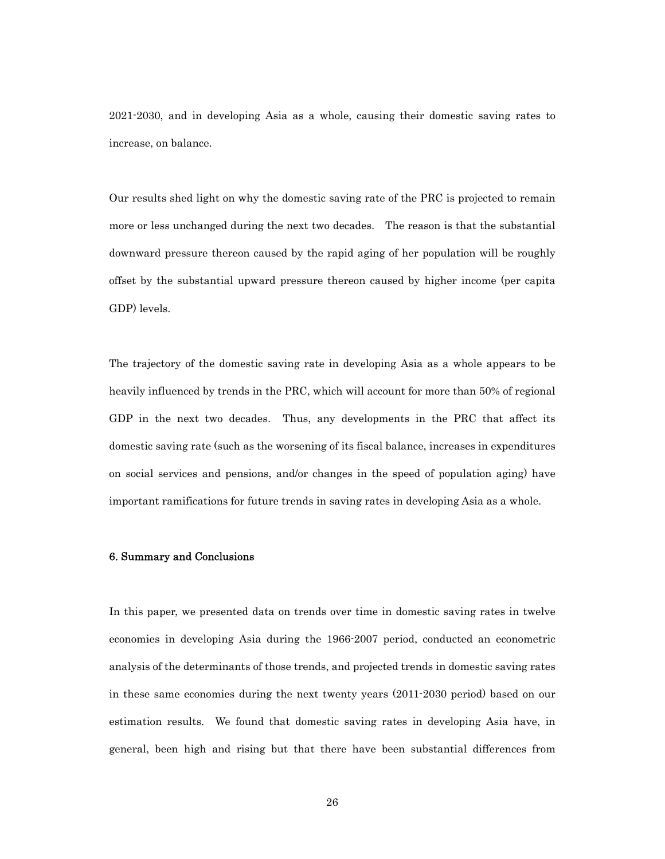2021-2030, and in developing Asia as a whole, causing their domestic saving rates to increase, on balance.

Our results shed light on why the domestic saving rate of the PRC is projected to remain more or less unchanged during the next two decades. The reason is that the substantial downward pressure thereon caused by the rapid aging of her population will be roughly offset by the substantial upward pressure thereon caused by higher income (per capita GDP) levels.

The trajectory of the domestic saving rate in developing Asia as a whole appears to be heavily influenced by trends in the PRC, which will account for more than 50% of regional GDP in the next two decades. Thus, any developments in the PRC that affect its domestic saving rate (such as the worsening of its fiscal balance, increases in expenditures on social services and pensions, and/or changes in the speed of population aging) have important ramifications for future trends in saving rates in developing Asia as a whole.

#### 6. Summary and Conclusions

In this paper, we presented data on trends over time in domestic saving rates in twelve economies in developing Asia during the 1966-2007 period, conducted an econometric analysis of the determinants of those trends, and projected trends in domestic saving rates in these same economies during the next twenty years (2011-2030 period) based on our estimation results. We found that domestic saving rates in developing Asia have, in general, been high and rising but that there have been substantial differences from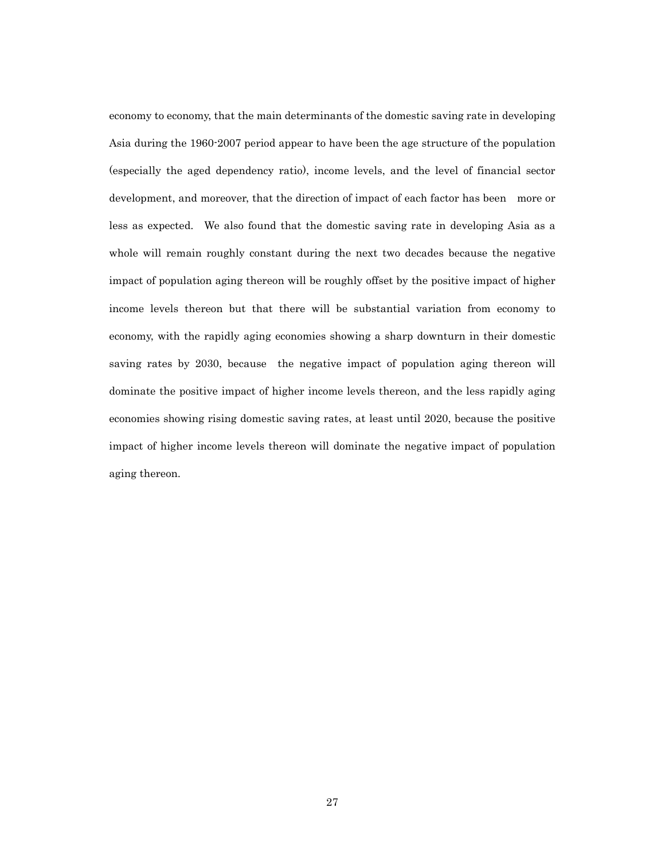economy to economy, that the main determinants of the domestic saving rate in developing Asia during the 1960-2007 period appear to have been the age structure of the population (especially the aged dependency ratio), income levels, and the level of financial sector development, and moreover, that the direction of impact of each factor has been more or less as expected. We also found that the domestic saving rate in developing Asia as a whole will remain roughly constant during the next two decades because the negative impact of population aging thereon will be roughly offset by the positive impact of higher income levels thereon but that there will be substantial variation from economy to economy, with the rapidly aging economies showing a sharp downturn in their domestic saving rates by 2030, because the negative impact of population aging thereon will dominate the positive impact of higher income levels thereon, and the less rapidly aging economies showing rising domestic saving rates, at least until 2020, because the positive impact of higher income levels thereon will dominate the negative impact of population aging thereon.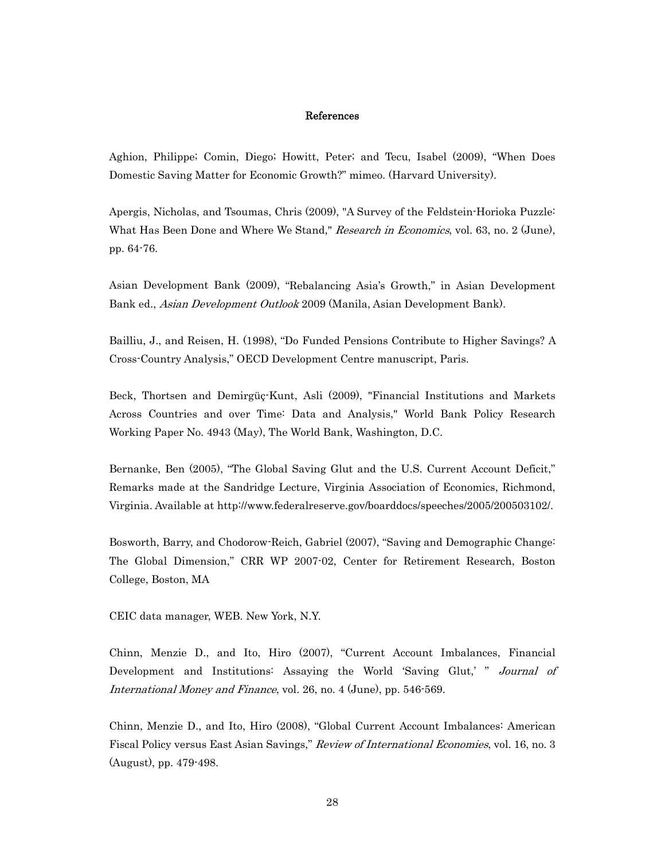#### References

Aghion, Philippe; Comin, Diego; Howitt, Peter; and Tecu, Isabel (2009), "When Does Domestic Saving Matter for Economic Growth?" mimeo. (Harvard University).

Apergis, Nicholas, and Tsoumas, Chris (2009), "A Survey of the Feldstein-Horioka Puzzle: What Has Been Done and Where We Stand," Research in Economics, vol. 63, no. 2 (June), pp. 64-76.

Asian Development Bank (2009), "Rebalancing Asia's Growth," in Asian Development Bank ed., Asian Development Outlook 2009 (Manila, Asian Development Bank).

Bailliu, J., and Reisen, H. (1998), "Do Funded Pensions Contribute to Higher Savings? A Cross-Country Analysis," OECD Development Centre manuscript, Paris.

Beck, Thortsen and Demirgüç-Kunt, Asli (2009), "Financial Institutions and Markets Across Countries and over Time: Data and Analysis," World Bank Policy Research Working Paper No. 4943 (May), The World Bank, Washington, D.C.

Bernanke, Ben (2005), "The Global Saving Glut and the U.S. Current Account Deficit," Remarks made at the Sandridge Lecture, Virginia Association of Economics, Richmond, Virginia. Available at http://www.federalreserve.gov/boarddocs/speeches/2005/200503102/.

Bosworth, Barry, and Chodorow-Reich, Gabriel (2007), "Saving and Demographic Change: The Global Dimension," CRR WP 2007-02, Center for Retirement Research, Boston College, Boston, MA

CEIC data manager, WEB. New York, N.Y.

Chinn, Menzie D., and Ito, Hiro (2007), "Current Account Imbalances, Financial Development and Institutions: Assaying the World 'Saving Glut,' " Journal of International Money and Finance, vol. 26, no. 4 (June), pp. 546-569.

Chinn, Menzie D., and Ito, Hiro (2008), "Global Current Account Imbalances: American Fiscal Policy versus East Asian Savings," Review of International Economies, vol. 16, no. 3 (August), pp. 479-498.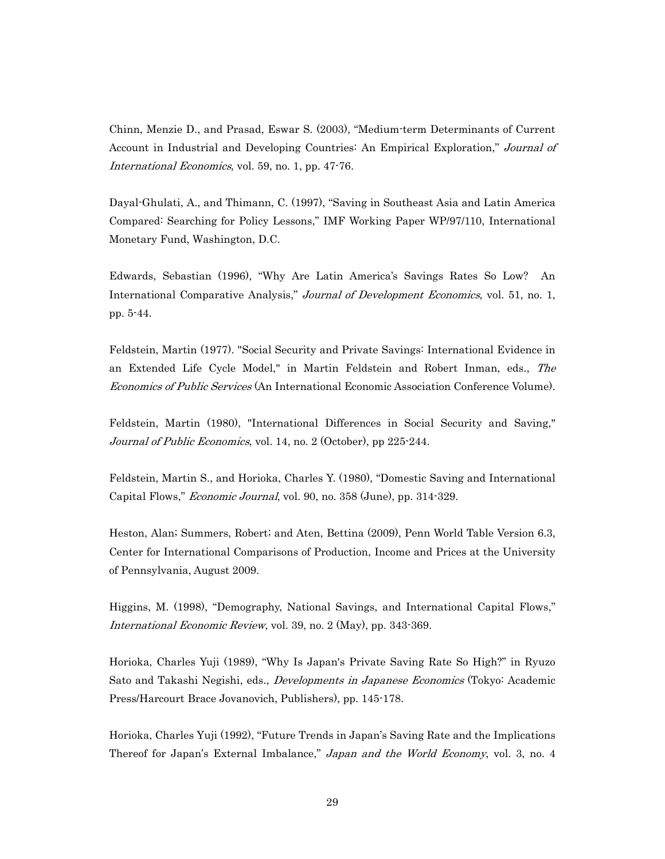Chinn, Menzie D., and Prasad, Eswar S. (2003), "Medium-term Determinants of Current Account in Industrial and Developing Countries: An Empirical Exploration," Journal of International Economics, vol. 59, no. 1, pp. 47-76.

Dayal-Ghulati, A., and Thimann, C. (1997), "Saving in Southeast Asia and Latin America Compared: Searching for Policy Lessons," IMF Working Paper WP/97/110, International Monetary Fund, Washington, D.C.

Edwards, Sebastian (1996), "Why Are Latin America's Savings Rates So Low? An International Comparative Analysis," Journal of Development Economics, vol. 51, no. 1, pp. 5-44.

Feldstein, Martin (1977). "Social Security and Private Savings: International Evidence in an Extended Life Cycle Model," in Martin Feldstein and Robert Inman, eds., The Economics of Public Services (An International Economic Association Conference Volume).

Feldstein, Martin (1980), "International Differences in Social Security and Saving," Journal of Public Economics, vol. 14, no. 2 (October), pp 225-244.

Feldstein, Martin S., and Horioka, Charles Y. (1980), "Domestic Saving and International Capital Flows," Economic Journal, vol. 90, no. 358 (June), pp. 314-329.

Heston, Alan; Summers, Robert; and Aten, Bettina (2009), Penn World Table Version 6.3, Center for International Comparisons of Production, Income and Prices at the University of Pennsylvania, August 2009.

Higgins, M. (1998), "Demography, National Savings, and International Capital Flows," International Economic Review, vol. 39, no. 2 (May), pp. 343-369.

Horioka, Charles Yuji (1989), "Why Is Japan's Private Saving Rate So High?" in Ryuzo Sato and Takashi Negishi, eds., Developments in Japanese Economics (Tokyo: Academic Press/Harcourt Brace Jovanovich, Publishers), pp. 145-178.

Horioka, Charles Yuji (1992), "Future Trends in Japan's Saving Rate and the Implications Thereof for Japan's External Imbalance," Japan and the World Economy, vol. 3, no. 4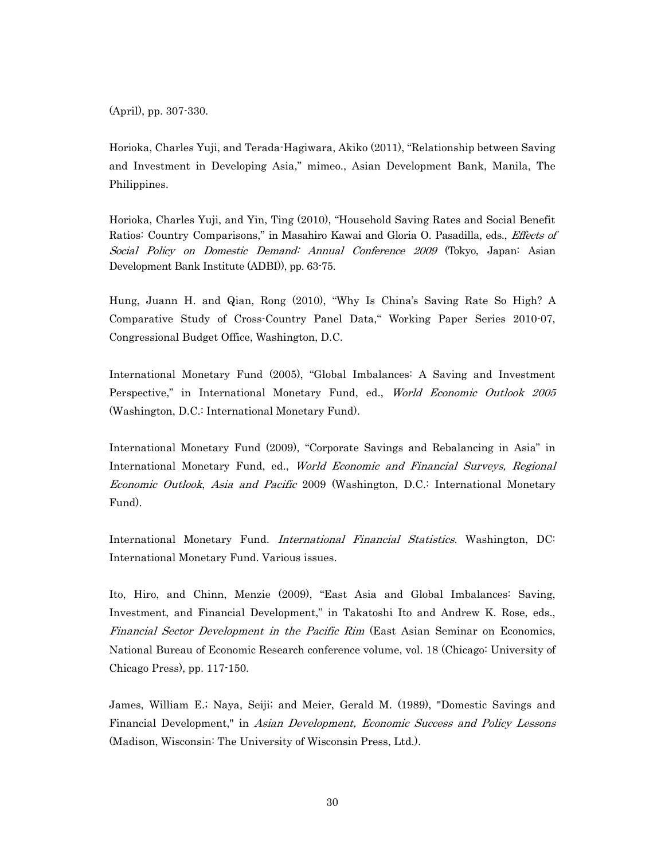(April), pp. 307-330.

Horioka, Charles Yuji, and Terada-Hagiwara, Akiko (2011), "Relationship between Saving and Investment in Developing Asia," mimeo., Asian Development Bank, Manila, The Philippines.

Horioka, Charles Yuji, and Yin, Ting (2010), "Household Saving Rates and Social Benefit Ratios: Country Comparisons," in Masahiro Kawai and Gloria O. Pasadilla, eds., Effects of Social Policy on Domestic Demand: Annual Conference 2009 (Tokyo, Japan: Asian Development Bank Institute (ADBI)), pp. 63-75.

Hung, Juann H. and Qian, Rong (2010), "Why Is China's Saving Rate So High? A Comparative Study of Cross-Country Panel Data," Working Paper Series 2010-07, Congressional Budget Office, Washington, D.C.

International Monetary Fund (2005), "Global Imbalances: A Saving and Investment Perspective," in International Monetary Fund, ed., World Economic Outlook 2005 (Washington, D.C.: International Monetary Fund).

International Monetary Fund (2009), "Corporate Savings and Rebalancing in Asia" in International Monetary Fund, ed., World Economic and Financial Surveys, Regional Economic Outlook, Asia and Pacific 2009 (Washington, D.C.: International Monetary Fund).

International Monetary Fund. International Financial Statistics. Washington, DC: International Monetary Fund. Various issues.

Ito, Hiro, and Chinn, Menzie (2009), "East Asia and Global Imbalances: Saving, Investment, and Financial Development," in Takatoshi Ito and Andrew K. Rose, eds., Financial Sector Development in the Pacific Rim (East Asian Seminar on Economics, National Bureau of Economic Research conference volume, vol. 18 (Chicago: University of Chicago Press), pp. 117-150.

James, William E.; Naya, Seiji; and Meier, Gerald M. (1989), "Domestic Savings and Financial Development," in Asian Development, Economic Success and Policy Lessons (Madison, Wisconsin: The University of Wisconsin Press, Ltd.).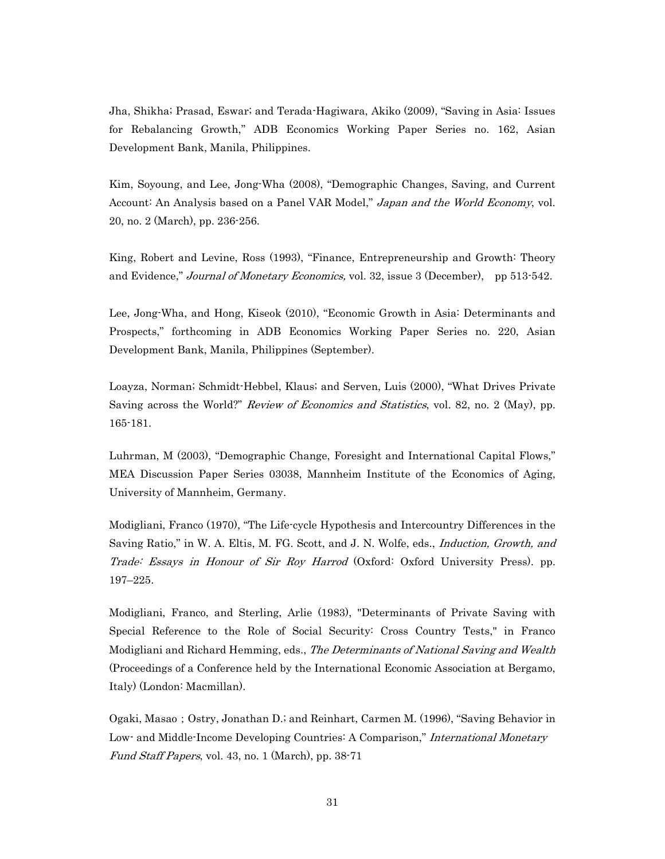Jha, Shikha; Prasad, Eswar; and Terada-Hagiwara, Akiko (2009), "Saving in Asia: Issues for Rebalancing Growth," ADB Economics Working Paper Series no. 162, Asian Development Bank, Manila, Philippines.

Kim, Soyoung, and Lee, Jong-Wha (2008), "Demographic Changes, Saving, and Current Account: An Analysis based on a Panel VAR Model," Japan and the World Economy, vol. 20, no. 2 (March), pp. 236-256.

King, Robert and Levine, Ross (1993), "Finance, Entrepreneurship and Growth: Theory and Evidence," Journal of Monetary Economics, vol. 32, issue 3 (December), pp 513-542.

Lee, Jong-Wha, and Hong, Kiseok (2010), "Economic Growth in Asia: Determinants and Prospects," forthcoming in ADB Economics Working Paper Series no. 220, Asian Development Bank, Manila, Philippines (September).

Loayza, Norman; Schmidt-Hebbel, Klaus; and Serven, Luis (2000), "What Drives Private Saving across the World?" Review of Economics and Statistics, vol. 82, no. 2 (May), pp. 165-181.

Luhrman, M (2003), "Demographic Change, Foresight and International Capital Flows," MEA Discussion Paper Series 03038, Mannheim Institute of the Economics of Aging, University of Mannheim, Germany.

Modigliani, Franco (1970), "The Life-cycle Hypothesis and Intercountry Differences in the Saving Ratio," in W. A. Eltis, M. FG. Scott, and J. N. Wolfe, eds., Induction, Growth, and Trade: Essays in Honour of Sir Roy Harrod (Oxford: Oxford University Press). pp. 197–225.

Modigliani, Franco, and Sterling, Arlie (1983), "Determinants of Private Saving with Special Reference to the Role of Social Security: Cross Country Tests," in Franco Modigliani and Richard Hemming, eds., The Determinants of National Saving and Wealth (Proceedings of a Conference held by the International Economic Association at Bergamo, Italy) (London: Macmillan).

Ogaki, Masao; Ostry, Jonathan D.; and Reinhart, Carmen M. (1996), "Saving Behavior in Low- and Middle-Income Developing Countries: A Comparison," *International Monetary* Fund Staff Papers, vol. 43, no. 1 (March), pp. 38-71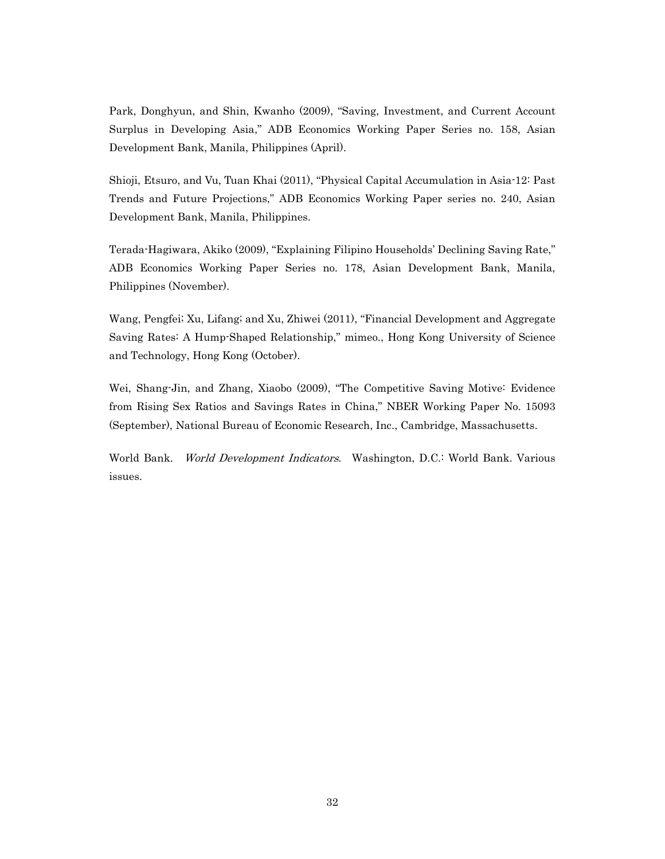Park, Donghyun, and Shin, Kwanho (2009), "Saving, Investment, and Current Account Surplus in Developing Asia," ADB Economics Working Paper Series no. 158, Asian Development Bank, Manila, Philippines (April).

Shioji, Etsuro, and Vu, Tuan Khai (2011), "Physical Capital Accumulation in Asia-12: Past Trends and Future Projections," ADB Economics Working Paper series no. 240, Asian Development Bank, Manila, Philippines.

Terada-Hagiwara, Akiko (2009), "Explaining Filipino Households' Declining Saving Rate," ADB Economics Working Paper Series no. 178, Asian Development Bank, Manila, Philippines (November).

Wang, Pengfei; Xu, Lifang; and Xu, Zhiwei (2011), "Financial Development and Aggregate Saving Rates: A Hump-Shaped Relationship," mimeo., Hong Kong University of Science and Technology, Hong Kong (October).

Wei, Shang-Jin, and Zhang, Xiaobo (2009), "The Competitive Saving Motive: Evidence from Rising Sex Ratios and Savings Rates in China," NBER Working Paper No. 15093 (September), National Bureau of Economic Research, Inc., Cambridge, Massachusetts.

World Bank. World Development Indicators. Washington, D.C.: World Bank. Various issues.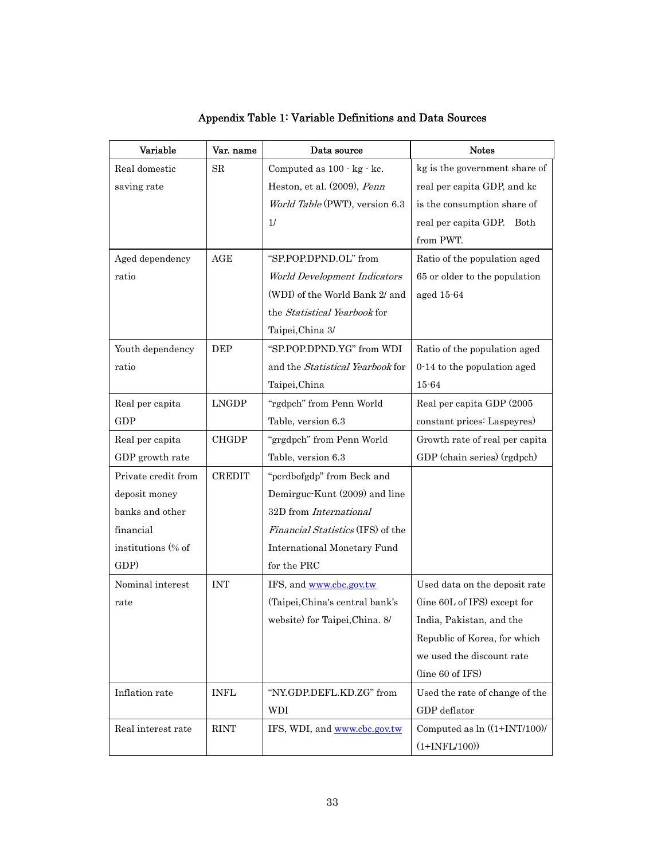| Variable            | Var. name     | Data source                              | <b>Notes</b>                    |  |  |
|---------------------|---------------|------------------------------------------|---------------------------------|--|--|
| Real domestic       | SR            | Computed as 100 · kg · kc.               | kg is the government share of   |  |  |
| saving rate         |               | Heston, et al. (2009), Penn              | real per capita GDP, and kc     |  |  |
|                     |               | World Table (PWT), version 6.3           | is the consumption share of     |  |  |
|                     |               | 1/                                       | real per capita GDP. Both       |  |  |
|                     |               |                                          | from PWT.                       |  |  |
| Aged dependency     | AGE           | "SP.POP.DPND.OL" from                    | Ratio of the population aged    |  |  |
| ratio               |               | World Development Indicators             | 65 or older to the population   |  |  |
|                     |               | (WDI) of the World Bank 2/ and           | aged 15-64                      |  |  |
|                     |               | the Statistical Yearbook for             |                                 |  |  |
|                     |               | Taipei, China 3/                         |                                 |  |  |
| Youth dependency    | <b>DEP</b>    | "SP.POP.DPND.YG" from WDI                | Ratio of the population aged    |  |  |
| ratio               |               | and the Statistical Yearbook for         | 0-14 to the population aged     |  |  |
|                     |               | Taipei, China                            | $15 - 64$                       |  |  |
| Real per capita     | <b>LNGDP</b>  | "rgdpch" from Penn World                 | Real per capita GDP (2005       |  |  |
| GDP                 |               | Table, version 6.3                       | constant prices: Laspeyres)     |  |  |
| Real per capita     | <b>CHGDP</b>  | "grgdpch" from Penn World                | Growth rate of real per capita  |  |  |
| GDP growth rate     |               | Table, version 6.3                       | GDP (chain series) (rgdpch)     |  |  |
| Private credit from | <b>CREDIT</b> | "pcrdbofgdp" from Beck and               |                                 |  |  |
| deposit money       |               | Demirguc Kunt (2009) and line            |                                 |  |  |
| banks and other     |               | 32D from International                   |                                 |  |  |
| financial           |               | <i>Financial Statistics</i> (IFS) of the |                                 |  |  |
| institutions (% of  |               | <b>International Monetary Fund</b>       |                                 |  |  |
| GDP)                |               | for the PRC                              |                                 |  |  |
| Nominal interest    | <b>INT</b>    | IFS, and www.cbc.gov.tw                  | Used data on the deposit rate   |  |  |
| rate                |               | (Taipei, China's central bank's          | (line 60L of IFS) except for    |  |  |
|                     |               | website) for Taipei, China. 8/           | India, Pakistan, and the        |  |  |
|                     |               |                                          | Republic of Korea, for which    |  |  |
|                     |               |                                          | we used the discount rate       |  |  |
|                     |               |                                          | (line 60 of IFS)                |  |  |
| Inflation rate      | <b>INFL</b>   | "NY.GDP.DEFL.KD.ZG" from                 | Used the rate of change of the  |  |  |
|                     |               | WDI                                      | GDP deflator                    |  |  |
| Real interest rate  | <b>RINT</b>   | IFS, WDI, and www.cbc.gov.tw             | Computed as $\ln$ ((1+INT/100)/ |  |  |
|                     |               |                                          | $(1+INFL/100))$                 |  |  |

# Appendix Table 1: Variable Definitions and Data Sources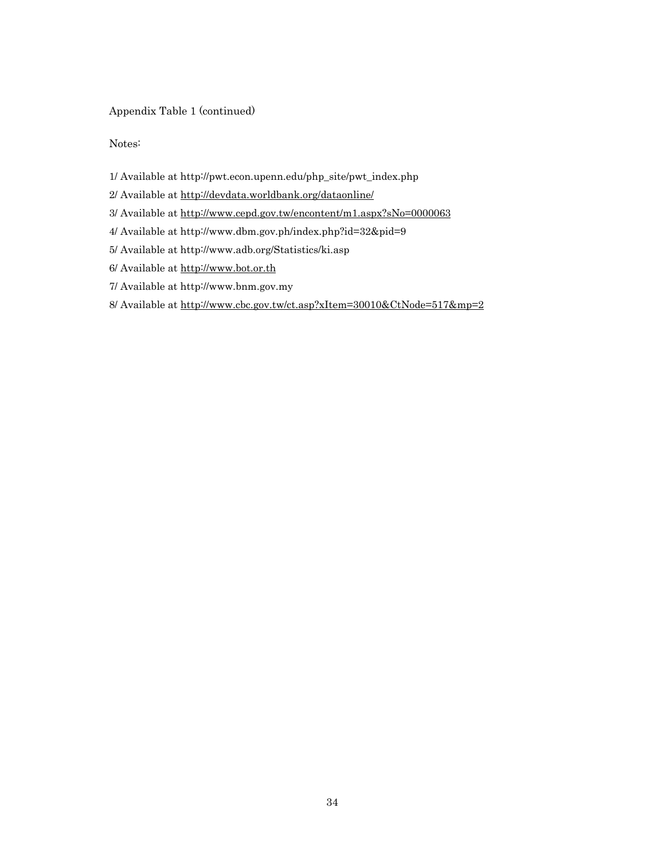### Appendix Table 1 (continued)

Notes:

- 1/ Available at http://pwt.econ.upenn.edu/php\_site/pwt\_index.php
- 2/ Available at http://devdata.worldbank.org/dataonline/
- 3/ Available at http://www.cepd.gov.tw/encontent/m1.aspx?sNo=0000063
- 4/ Available at http://www.dbm.gov.ph/index.php?id=32&pid=9
- 5/ Available at http://www.adb.org/Statistics/ki.asp
- 6/ Available at http://www.bot.or.th
- 7/ Available at http://www.bnm.gov.my
- 8/ Available at http://www.cbc.gov.tw/ct.asp?xItem=30010&CtNode=517&mp=2